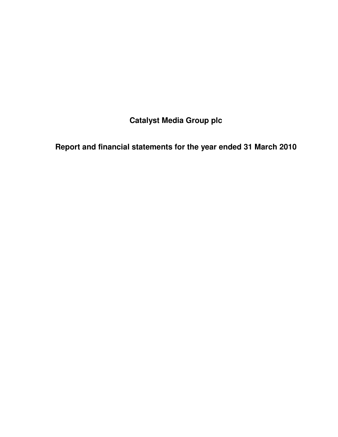**Catalyst Media Group plc** 

**Report and financial statements for the year ended 31 March 2010**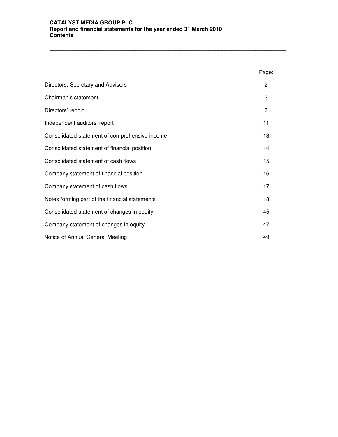#### **CATALYST MEDIA GROUP PLC Report and financial statements for the year ended 31 March 2010 Contents**

|                                                | Page: |
|------------------------------------------------|-------|
| Directors, Secretary and Advisers              | 2     |
| Chairman's statement                           | 3     |
| Directors' report                              | 7     |
| Independent auditors' report                   | 11    |
| Consolidated statement of comprehensive income | 13    |
| Consolidated statement of financial position   | 14    |
| Consolidated statement of cash flows           | 15    |
| Company statement of financial position        | 16    |
| Company statement of cash flows                | 17    |
| Notes forming part of the financial statements | 18    |
| Consolidated statement of changes in equity    | 45    |
| Company statement of changes in equity         | 47    |
| Notice of Annual General Meeting               | 49    |

**\_\_\_\_\_\_\_\_\_\_\_\_\_\_\_\_\_\_\_\_\_\_\_\_\_\_\_\_\_\_\_\_\_\_\_\_\_\_\_\_\_\_\_\_\_\_\_\_\_\_\_\_\_\_\_\_\_\_\_\_\_\_\_\_\_\_\_\_\_\_\_\_\_\_\_\_\_**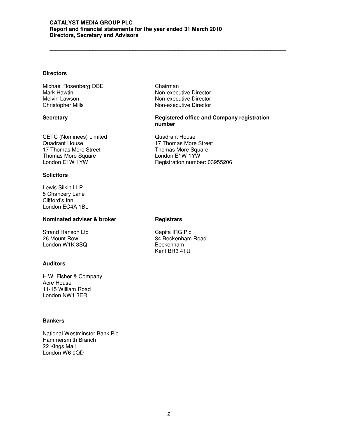#### **CATALYST MEDIA GROUP PLC Report and financial statements for the year ended 31 March 2010 Directors, Secretary and Advisors**

#### **Directors**

Michael Rosenberg OBE Chairman Mark Hawtin **Non-executive Director** Melvin Lawson Non-executive Director Christopher Mills **Non-executive Director** 

CETC (Nominees) Limited Cuadrant House<br>
Quadrant House 17 Thomas More 17 Thomas More Street Thomas More Square<br>
Thomas More Square Thomas More Square Communication Communication Thomas More Square London E1W 1YW

#### **Solicitors**

Lewis Silkin LLP 5 Chancery Lane Clifford's Inn London EC4A 1BL

#### **Nominated adviser & broker Registrars**

Strand Hanson Ltd Capita IRG Plc<br>
26 Mount Row Capita IRG Plc 26 Mount Row London W1K 3SQ Beckenham

#### **Auditors**

H.W. Fisher & Company Acre House 11-15 William Road London NW1 3ER

#### **Bankers**

National Westminster Bank Plc Hammersmith Branch 22 Kings Mall London W6 0QD

**\_\_\_\_\_\_\_\_\_\_\_\_\_\_\_\_\_\_\_\_\_\_\_\_\_\_\_\_\_\_\_\_\_\_\_\_\_\_\_\_\_\_\_\_\_\_\_\_\_\_\_\_\_\_\_\_\_\_\_\_\_\_\_\_\_\_\_\_\_\_\_\_\_\_\_\_\_** 

#### **Secretary Company Registered office and Company registration in American** Registered office and Company registration **number**

17 Thomas More Street<br>Thomas More Square Registration number: 03955206

34 Beckenham Road Kent BR3 4TU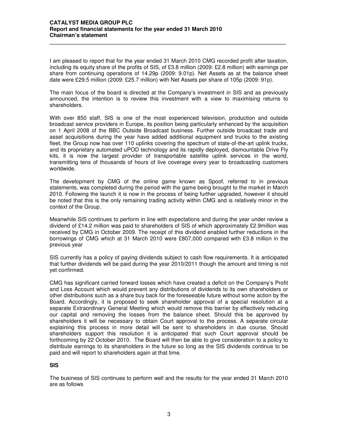#### **CATALYST MEDIA GROUP PLC Report and financial statements for the year ended 31 March 2010 Chairman's statement**

I am pleased to report that for the year ended 31 March 2010 CMG recorded profit after taxation, including its equity share of the profits of SIS, of £3.8 million (2009: £2.8 million) with earnings per share from continuing operations of 14.29p (2009: 9.01p). Net Assets as at the balance sheet date were £29.5 million (2009: £25.7 million) with Net Assets per share of 105p (2009: 91p).

**\_\_\_\_\_\_\_\_\_\_\_\_\_\_\_\_\_\_\_\_\_\_\_\_\_\_\_\_\_\_\_\_\_\_\_\_\_\_\_\_\_\_\_\_\_\_\_\_\_\_\_\_\_\_\_\_\_\_\_\_\_\_\_\_\_\_\_\_\_\_\_\_\_\_\_\_\_** 

The main focus of the board is directed at the Company's investment in SIS and as previously announced, the intention is to review this investment with a view to maximising returns to shareholders.

With over 850 staff, SIS is one of the most experienced television, production and outside broadcast service providers in Europe, its position being particularly enhanced by the acquisition on 1 April 2008 of the BBC Outside Broadcast business. Further outside broadcast trade and asset acquisitions during the year have added additional equipment and trucks to the existing fleet, the Group now has over 110 uplinks covering the spectrum of state-of-the-art uplink trucks, and its proprietary automated uPOD technology and its rapidly deployed, dismountable Drive Fly kits, it is now the largest provider of transportable satellite uplink services in the world, transmitting tens of thousands of hours of live coverage every year to broadcasting customers worldwide.

The development by CMG of the online game known as Spoof, referred to in previous statements, was completed during the period with the game being brought to the market in March 2010. Following the launch it is now in the process of being further upgraded, however it should be noted that this is the only remaining trading activity within CMG and is relatively minor in the context of the Group.

Meanwhile SIS continues to perform in line with expectations and during the year under review a dividend of £14.2 million was paid to shareholders of SIS of which approximately £2.9million was received by CMG in October 2009. The receipt of this dividend enabled further reductions in the borrowings of CMG which at 31 March 2010 were £807,000 compared with £3.8 million in the previous year

SIS currently has a policy of paying dividends subject to cash flow requirements. It is anticipated that further dividends will be paid during the year 2010/2011 though the amount and timing is not yet confirmed.

CMG has significant carried forward losses which have created a deficit on the Company's Profit and Loss Account which would prevent any distributions of dividends to its own shareholders or other distributions such as a share buy back for the foreseeable future without some action by the Board. Accordingly, it is proposed to seek shareholder approval of a special resolution at a separate Extraordinary General Meeting which would remove this barrier by effectively reducing our capital and removing the losses from the balance sheet. Should this be approved by shareholders it will be necessary to obtain Court approval to the process. A separate circular explaining this process in more detail will be sent to shareholders in due course. Should shareholders support this resolution it is anticipated that such Court approval should be forthcoming by 22 October 2010. The Board will then be able to give consideration to a policy to distribute earnings to its shareholders in the future so long as the SIS dividends continue to be paid and will report to shareholders again at that time.

#### **SIS**

The business of SIS continues to perform well and the results for the year ended 31 March 2010 are as follows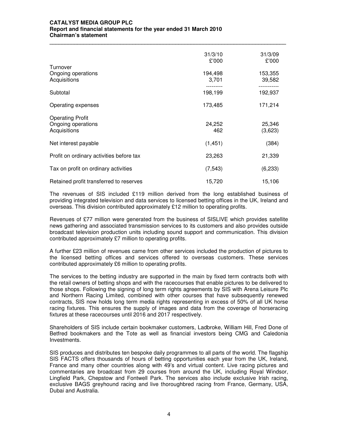#### **CATALYST MEDIA GROUP PLC Report and financial statements for the year ended 31 March 2010 Chairman's statement**

|                                                               | 31/3/10<br>£'000 | 31/3/09<br>£'000  |
|---------------------------------------------------------------|------------------|-------------------|
| Turnover<br>Ongoing operations<br>Acquisitions                | 194,498<br>3,701 | 153,355<br>39,582 |
| Subtotal                                                      | 198,199          | 192,937           |
| Operating expenses                                            | 173,485          | 171,214           |
| <b>Operating Profit</b><br>Ongoing operations<br>Acquisitions | 24,252<br>462    | 25,346<br>(3,623) |
| Net interest payable                                          | (1, 451)         | (384)             |
| Profit on ordinary activities before tax                      | 23,263           | 21,339            |
| Tax on profit on ordinary activities                          | (7, 543)         | (6, 233)          |
| Retained profit transferred to reserves                       | 15,720           | 15,106            |

**\_\_\_\_\_\_\_\_\_\_\_\_\_\_\_\_\_\_\_\_\_\_\_\_\_\_\_\_\_\_\_\_\_\_\_\_\_\_\_\_\_\_\_\_\_\_\_\_\_\_\_\_\_\_\_\_\_\_\_\_\_\_\_\_\_\_\_\_\_\_\_\_\_\_\_\_\_** 

The revenues of SIS included £119 million derived from the long established business of providing integrated television and data services to licensed betting offices in the UK, Ireland and overseas. This division contributed approximately £12 million to operating profits.

Revenues of £77 million were generated from the business of SISLIVE which provides satellite news gathering and associated transmission services to its customers and also provides outside broadcast television production units including sound support and communication. This division contributed approximately £7 million to operating profits.

A further £23 million of revenues came from other services included the production of pictures to the licensed betting offices and services offered to overseas customers. These services contributed approximately £6 million to operating profits.

The services to the betting industry are supported in the main by fixed term contracts both with the retail owners of betting shops and with the racecourses that enable pictures to be delivered to those shops. Following the signing of long term rights agreements by SIS with Arena Leisure Plc and Northern Racing Limited, combined with other courses that have subsequently renewed contracts, SIS now holds long term media rights representing in excess of 50% of all UK horse racing fixtures. This ensures the supply of images and data from the coverage of horseracing fixtures at these racecourses until 2016 and 2017 respectively.

Shareholders of SIS include certain bookmaker customers, Ladbroke, William Hill, Fred Done of Betfred bookmakers and the Tote as well as financial investors being CMG and Caledonia Investments.

SIS produces and distributes ten bespoke daily programmes to all parts of the world. The flagship SIS FACTS offers thousands of hours of betting opportunities each year from the UK, Ireland, France and many other countries along with 49's and virtual content. Live racing pictures and commentaries are broadcast from 29 courses from around the UK, including Royal Windsor, Lingfield Park, Chepstow and Fontwell Park. The services also include exclusive Irish racing, exclusive BAGS greyhound racing and live thoroughbred racing from France, Germany, USA, Dubai and Australia.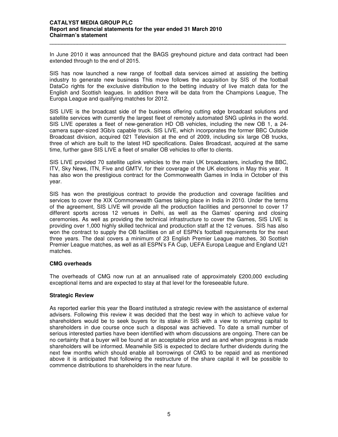#### **CATALYST MEDIA GROUP PLC Report and financial statements for the year ended 31 March 2010 Chairman's statement**

In June 2010 it was announced that the BAGS greyhound picture and data contract had been extended through to the end of 2015.

**\_\_\_\_\_\_\_\_\_\_\_\_\_\_\_\_\_\_\_\_\_\_\_\_\_\_\_\_\_\_\_\_\_\_\_\_\_\_\_\_\_\_\_\_\_\_\_\_\_\_\_\_\_\_\_\_\_\_\_\_\_\_\_\_\_\_\_\_\_\_\_\_\_\_\_\_\_** 

SIS has now launched a new range of football data services aimed at assisting the betting industry to generate new business This move follows the acquisition by SIS of the football DataCo rights for the exclusive distribution to the betting industry of live match data for the English and Scottish leagues. In addition there will be data from the Champions League, The Europa League and qualifying matches for 2012.

SIS LIVE is the broadcast side of the business offering cutting edge broadcast solutions and satellite services with currently the largest fleet of remotely automated SNG uplinks in the world. SIS LIVE operates a fleet of new-generation HD OB vehicles, including the new OB 1, a 24 camera super-sized 3Gb/s capable truck. SIS LIVE, which incorporates the former BBC Outside Broadcast division, acquired 021 Television at the end of 2009, including six large OB trucks, three of which are built to the latest HD specifications. Dales Broadcast, acquired at the same time, further gave SIS LIVE a fleet of smaller OB vehicles to offer to clients.

SIS LIVE provided 70 satellite uplink vehicles to the main UK broadcasters, including the BBC, ITV, Sky News, ITN, Five and GMTV, for their coverage of the UK elections in May this year. It has also won the prestigious contract for the Commonwealth Games in India in October of this year.

SIS has won the prestigious contract to provide the production and coverage facilities and services to cover the XIX Commonwealth Games taking place in India in 2010. Under the terms of the agreement, SIS LIVE will provide all the production facilities and personnel to cover 17 different sports across 12 venues in Delhi, as well as the Games' opening and closing ceremonies. As well as providing the technical infrastructure to cover the Games, SIS LIVE is providing over 1,000 highly skilled technical and production staff at the 12 venues. SIS has also won the contract to supply the OB facilities on all of ESPN's football requirements for the next three years. The deal covers a minimum of 23 English Premier League matches, 30 Scottish Premier League matches, as well as all ESPN's FA Cup, UEFA Europa League and England U21 matches.

#### **CMG overheads**

The overheads of CMG now run at an annualised rate of approximately £200,000 excluding exceptional items and are expected to stay at that level for the foreseeable future.

#### **Strategic Review**

As reported earlier this year the Board instituted a strategic review with the assistance of external advisers. Following this review it was decided that the best way in which to achieve value for shareholders would be to seek buyers for its stake in SIS with a view to returning capital to shareholders in due course once such a disposal was achieved. To date a small number of serious interested parties have been identified with whom discussions are ongoing. There can be no certainty that a buyer will be found at an acceptable price and as and when progress is made shareholders will be informed. Meanwhile SIS is expected to declare further dividends during the next few months which should enable all borrowings of CMG to be repaid and as mentioned above it is anticipated that following the restructure of the share capital it will be possible to commence distributions to shareholders in the near future.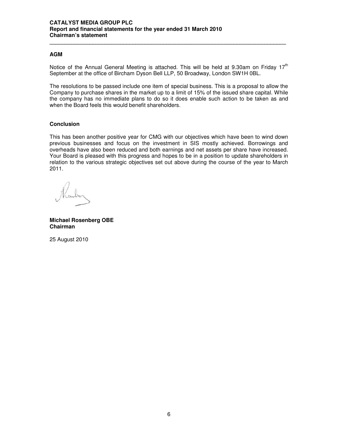#### **AGM**

Notice of the Annual General Meeting is attached. This will be held at 9.30am on Friday  $17<sup>th</sup>$ September at the office of Bircham Dyson Bell LLP, 50 Broadway, London SW1H 0BL.

**\_\_\_\_\_\_\_\_\_\_\_\_\_\_\_\_\_\_\_\_\_\_\_\_\_\_\_\_\_\_\_\_\_\_\_\_\_\_\_\_\_\_\_\_\_\_\_\_\_\_\_\_\_\_\_\_\_\_\_\_\_\_\_\_\_\_\_\_\_\_\_\_\_\_\_\_\_** 

The resolutions to be passed include one item of special business. This is a proposal to allow the Company to purchase shares in the market up to a limit of 15% of the issued share capital. While the company has no immediate plans to do so it does enable such action to be taken as and when the Board feels this would benefit shareholders.

#### **Conclusion**

This has been another positive year for CMG with our objectives which have been to wind down previous businesses and focus on the investment in SIS mostly achieved. Borrowings and overheads have also been reduced and both earnings and net assets per share have increased. Your Board is pleased with this progress and hopes to be in a position to update shareholders in relation to the various strategic objectives set out above during the course of the year to March 2011.

**Michael Rosenberg OBE Chairman** 

25 August 2010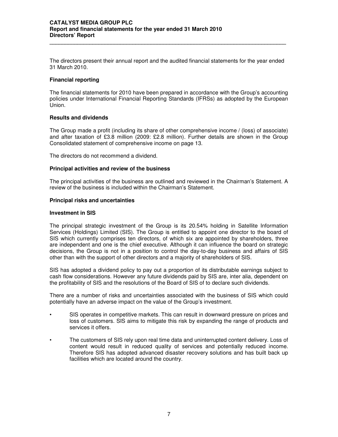#### **CATALYST MEDIA GROUP PLC Report and financial statements for the year ended 31 March 2010 Directors' Report**

The directors present their annual report and the audited financial statements for the year ended 31 March 2010.

**\_\_\_\_\_\_\_\_\_\_\_\_\_\_\_\_\_\_\_\_\_\_\_\_\_\_\_\_\_\_\_\_\_\_\_\_\_\_\_\_\_\_\_\_\_\_\_\_\_\_\_\_\_\_\_\_\_\_\_\_\_\_\_\_\_\_\_\_\_\_\_\_\_\_\_\_\_** 

#### **Financial reporting**

The financial statements for 2010 have been prepared in accordance with the Group's accounting policies under International Financial Reporting Standards (IFRSs) as adopted by the European Union.

#### **Results and dividends**

The Group made a profit (including its share of other comprehensive income / (loss) of associate) and after taxation of £3.8 million (2009: £2.8 million). Further details are shown in the Group Consolidated statement of comprehensive income on page 13.

The directors do not recommend a dividend.

#### **Principal activities and review of the business**

The principal activities of the business are outlined and reviewed in the Chairman's Statement. A review of the business is included within the Chairman's Statement.

#### **Principal risks and uncertainties**

#### **Investment in SIS**

The principal strategic investment of the Group is its 20.54% holding in Satellite Information Services (Holdings) Limited (SIS). The Group is entitled to appoint one director to the board of SIS which currently comprises ten directors, of which six are appointed by shareholders, three are independent and one is the chief executive. Although it can influence the board on strategic decisions, the Group is not in a position to control the day-to-day business and affairs of SIS other than with the support of other directors and a majority of shareholders of SIS.

SIS has adopted a dividend policy to pay out a proportion of its distributable earnings subject to cash flow considerations. However any future dividends paid by SIS are, inter alia, dependent on the profitability of SIS and the resolutions of the Board of SIS of to declare such dividends.

There are a number of risks and uncertainties associated with the business of SIS which could potentially have an adverse impact on the value of the Group's investment.

- SIS operates in competitive markets. This can result in downward pressure on prices and loss of customers. SIS aims to mitigate this risk by expanding the range of products and services it offers.
- The customers of SIS rely upon real time data and uninterrupted content delivery. Loss of content would result in reduced quality of services and potentially reduced income. Therefore SIS has adopted advanced disaster recovery solutions and has built back up facilities which are located around the country.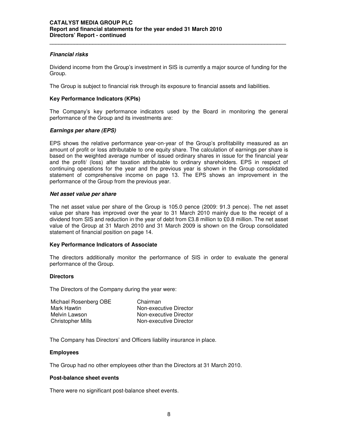#### **Financial risks**

Dividend income from the Group's investment in SIS is currently a major source of funding for the Group.

**\_\_\_\_\_\_\_\_\_\_\_\_\_\_\_\_\_\_\_\_\_\_\_\_\_\_\_\_\_\_\_\_\_\_\_\_\_\_\_\_\_\_\_\_\_\_\_\_\_\_\_\_\_\_\_\_\_\_\_\_\_\_\_\_\_\_\_\_\_\_\_\_\_\_\_\_\_** 

The Group is subject to financial risk through its exposure to financial assets and liabilities.

#### **Key Performance Indicators (KPIs)**

The Company's key performance indicators used by the Board in monitoring the general performance of the Group and its investments are:

#### **Earnings per share (EPS)**

EPS shows the relative performance year-on-year of the Group's profitability measured as an amount of profit or loss attributable to one equity share. The calculation of earnings per share is based on the weighted average number of issued ordinary shares in issue for the financial year and the profit/ (loss) after taxation attributable to ordinary shareholders. EPS in respect of continuing operations for the year and the previous year is shown in the Group consolidated statement of comprehensive income on page 13. The EPS shows an improvement in the performance of the Group from the previous year.

#### **Net asset value per share**

The net asset value per share of the Group is 105.0 pence (2009: 91.3 pence). The net asset value per share has improved over the year to 31 March 2010 mainly due to the receipt of a dividend from SIS and reduction in the year of debt from £3.8 million to £0.8 million. The net asset value of the Group at 31 March 2010 and 31 March 2009 is shown on the Group consolidated statement of financial position on page 14.

#### **Key Performance Indicators of Associate**

The directors additionally monitor the performance of SIS in order to evaluate the general performance of the Group.

#### **Directors**

The Directors of the Company during the year were:

| Chairman               |
|------------------------|
| Non-executive Director |
| Non-executive Director |
| Non-executive Director |
|                        |

The Company has Directors' and Officers liability insurance in place.

#### **Employees**

The Group had no other employees other than the Directors at 31 March 2010.

#### **Post-balance sheet events**

There were no significant post-balance sheet events.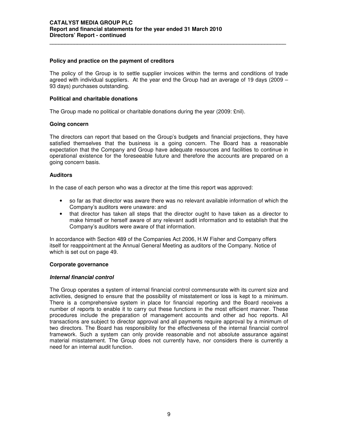#### **Policy and practice on the payment of creditors**

The policy of the Group is to settle supplier invoices within the terms and conditions of trade agreed with individual suppliers. At the year end the Group had an average of 19 days (2009 – 93 days) purchases outstanding.

**\_\_\_\_\_\_\_\_\_\_\_\_\_\_\_\_\_\_\_\_\_\_\_\_\_\_\_\_\_\_\_\_\_\_\_\_\_\_\_\_\_\_\_\_\_\_\_\_\_\_\_\_\_\_\_\_\_\_\_\_\_\_\_\_\_\_\_\_\_\_\_\_\_\_\_\_\_** 

#### **Political and charitable donations**

The Group made no political or charitable donations during the year (2009: £nil).

#### **Going concern**

The directors can report that based on the Group's budgets and financial projections, they have satisfied themselves that the business is a going concern. The Board has a reasonable expectation that the Company and Group have adequate resources and facilities to continue in operational existence for the foreseeable future and therefore the accounts are prepared on a going concern basis.

#### **Auditors**

In the case of each person who was a director at the time this report was approved:

- so far as that director was aware there was no relevant available information of which the Company's auditors were unaware: and
- that director has taken all steps that the director ought to have taken as a director to make himself or herself aware of any relevant audit information and to establish that the Company's auditors were aware of that information.

In accordance with Section 489 of the Companies Act 2006, H.W Fisher and Company offers itself for reappointment at the Annual General Meeting as auditors of the Company. Notice of which is set out on page 49.

#### **Corporate governance**

#### **Internal financial control**

The Group operates a system of internal financial control commensurate with its current size and activities, designed to ensure that the possibility of misstatement or loss is kept to a minimum. There is a comprehensive system in place for financial reporting and the Board receives a number of reports to enable it to carry out these functions in the most efficient manner. These procedures include the preparation of management accounts and other ad hoc reports. All transactions are subject to director approval and all payments require approval by a minimum of two directors. The Board has responsibility for the effectiveness of the internal financial control framework. Such a system can only provide reasonable and not absolute assurance against material misstatement. The Group does not currently have, nor considers there is currently a need for an internal audit function.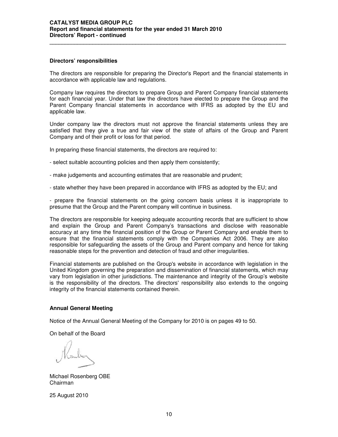#### **Directors' responsibilities**

The directors are responsible for preparing the Director's Report and the financial statements in accordance with applicable law and regulations.

**\_\_\_\_\_\_\_\_\_\_\_\_\_\_\_\_\_\_\_\_\_\_\_\_\_\_\_\_\_\_\_\_\_\_\_\_\_\_\_\_\_\_\_\_\_\_\_\_\_\_\_\_\_\_\_\_\_\_\_\_\_\_\_\_\_\_\_\_\_\_\_\_\_\_\_\_\_** 

Company law requires the directors to prepare Group and Parent Company financial statements for each financial year. Under that law the directors have elected to prepare the Group and the Parent Company financial statements in accordance with IFRS as adopted by the EU and applicable law.

Under company law the directors must not approve the financial statements unless they are satisfied that they give a true and fair view of the state of affairs of the Group and Parent Company and of their profit or loss for that period.

In preparing these financial statements, the directors are required to:

- select suitable accounting policies and then apply them consistently;

- make judgements and accounting estimates that are reasonable and prudent;

- state whether they have been prepared in accordance with IFRS as adopted by the EU; and

- prepare the financial statements on the going concern basis unless it is inappropriate to presume that the Group and the Parent company will continue in business.

The directors are responsible for keeping adequate accounting records that are sufficient to show and explain the Group and Parent Company's transactions and disclose with reasonable accuracy at any time the financial position of the Group or Parent Company and enable them to ensure that the financial statements comply with the Companies Act 2006. They are also responsible for safeguarding the assets of the Group and Parent company and hence for taking reasonable steps for the prevention and detection of fraud and other irregularities.

Financial statements are published on the Group's website in accordance with legislation in the United Kingdom governing the preparation and dissemination of financial statements, which may vary from legislation in other jurisdictions. The maintenance and integrity of the Group's website is the responsibility of the directors. The directors' responsibility also extends to the ongoing integrity of the financial statements contained therein.

#### **Annual General Meeting**

Notice of the Annual General Meeting of the Company for 2010 is on pages 49 to 50.

On behalf of the Board

Michael Rosenberg OBE Chairman

25 August 2010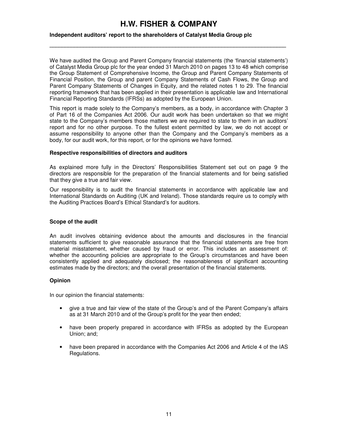### **H.W. FISHER & COMPANY**

**\_\_\_\_\_\_\_\_\_\_\_\_\_\_\_\_\_\_\_\_\_\_\_\_\_\_\_\_\_\_\_\_\_\_\_\_\_\_\_\_\_\_\_\_\_\_\_\_\_\_\_\_\_\_\_\_\_\_\_\_\_\_\_\_\_\_\_\_\_\_\_\_\_\_\_\_\_**

#### **Independent auditors' report to the shareholders of Catalyst Media Group plc**

We have audited the Group and Parent Company financial statements (the 'financial statements') of Catalyst Media Group plc for the year ended 31 March 2010 on pages 13 to 48 which comprise the Group Statement of Comprehensive Income, the Group and Parent Company Statements of Financial Position, the Group and parent Company Statements of Cash Flows, the Group and Parent Company Statements of Changes in Equity, and the related notes 1 to 29. The financial reporting framework that has been applied in their presentation is applicable law and International Financial Reporting Standards (IFRSs) as adopted by the European Union.

This report is made solely to the Company's members, as a body, in accordance with Chapter 3 of Part 16 of the Companies Act 2006. Our audit work has been undertaken so that we might state to the Company's members those matters we are required to state to them in an auditors' report and for no other purpose. To the fullest extent permitted by law, we do not accept or assume responsibility to anyone other than the Company and the Company's members as a body, for our audit work, for this report, or for the opinions we have formed.

#### **Respective responsibilities of directors and auditors**

As explained more fully in the Directors' Responsibilities Statement set out on page 9 the directors are responsible for the preparation of the financial statements and for being satisfied that they give a true and fair view.

Our responsibility is to audit the financial statements in accordance with applicable law and International Standards on Auditing (UK and Ireland). Those standards require us to comply with the Auditing Practices Board's Ethical Standard's for auditors.

#### **Scope of the audit**

An audit involves obtaining evidence about the amounts and disclosures in the financial statements sufficient to give reasonable assurance that the financial statements are free from material misstatement, whether caused by fraud or error. This includes an assessment of: whether the accounting policies are appropriate to the Group's circumstances and have been consistently applied and adequately disclosed; the reasonableness of significant accounting estimates made by the directors; and the overall presentation of the financial statements.

#### **Opinion**

In our opinion the financial statements:

- give a true and fair view of the state of the Group's and of the Parent Company's affairs as at 31 March 2010 and of the Group's profit for the year then ended;
- have been properly prepared in accordance with IFRSs as adopted by the European Union; and;
- have been prepared in accordance with the Companies Act 2006 and Article 4 of the IAS Regulations.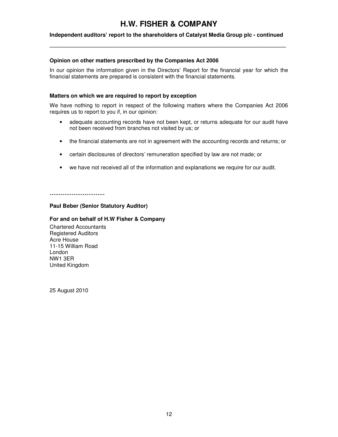### **H.W. FISHER & COMPANY**

#### **Independent auditors' report to the shareholders of Catalyst Media Group plc - continued \_\_\_\_\_\_\_\_\_\_\_\_\_\_\_\_\_\_\_\_\_\_\_\_\_\_\_\_\_\_\_\_\_\_\_\_\_\_\_\_\_\_\_\_\_\_\_\_\_\_\_\_\_\_\_\_\_\_\_\_\_\_\_\_\_\_\_\_\_\_\_\_\_\_\_\_\_**

#### **Opinion on other matters prescribed by the Companies Act 2006**

In our opinion the information given in the Directors' Report for the financial year for which the financial statements are prepared is consistent with the financial statements.

#### **Matters on which we are required to report by exception**

We have nothing to report in respect of the following matters where the Companies Act 2006 requires us to report to you if, in our opinion:

- adequate accounting records have not been kept, or returns adequate for our audit have not been received from branches not visited by us; or
- the financial statements are not in agreement with the accounting records and returns; or
- certain disclosures of directors' remuneration specified by law are not made; or
- we have not received all of the information and explanations we require for our audit.

**…………………………**

**Paul Beber (Senior Statutory Auditor)** 

#### **For and on behalf of H.W Fisher & Company**

Chartered Accountants Registered Auditors Acre House 11-15 William Road London NW1 3ER United Kingdom

25 August 2010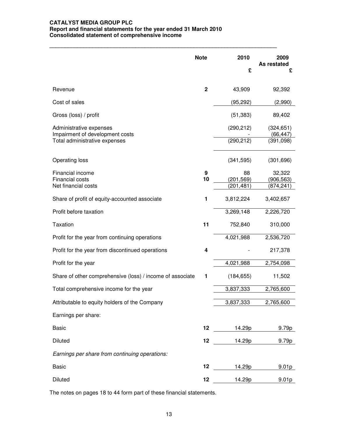#### **CATALYST MEDIA GROUP PLC Report and financial statements for the year ended 31 March 2010 Consolidated statement of comprehensive income**

**\_\_\_\_\_\_\_\_\_\_\_\_\_\_\_\_\_\_\_\_\_\_\_\_\_\_\_\_\_\_\_\_\_\_\_\_\_\_\_\_\_\_\_\_\_\_\_\_\_\_\_\_\_\_\_\_\_\_\_\_\_\_\_\_\_\_\_\_\_\_\_\_\_\_** 

|                                                            | <b>Note</b> | 2010<br>£                | 2009<br>As restated<br>£ |
|------------------------------------------------------------|-------------|--------------------------|--------------------------|
| Revenue                                                    | $\mathbf 2$ | 43,909                   | 92,392                   |
| Cost of sales                                              |             | (95, 292)                | (2,990)                  |
| Gross (loss) / profit                                      |             | (51, 383)                | 89,402                   |
| Administrative expenses<br>Impairment of development costs |             | (290, 212)               | (324, 651)<br>(66, 447)  |
| Total administrative expenses                              |             | (290, 212)               | (391,098)                |
| Operating loss                                             |             | (341, 595)               | (301, 696)               |
| Financial income                                           | 9           | 88                       | 32,322                   |
| <b>Financial costs</b><br>Net financial costs              | 10          | (201, 569)<br>(201, 481) | (906, 563)<br>(874, 241) |
| Share of profit of equity-accounted associate              | 1           | 3,812,224                | 3,402,657                |
| Profit before taxation                                     |             | 3,269,148                | 2,226,720                |
| <b>Taxation</b>                                            | 11          | 752,840                  | 310,000                  |
| Profit for the year from continuing operations             |             | 4,021,988                | 2,536,720                |
| Profit for the year from discontinued operations           | 4           |                          | 217,378                  |
| Profit for the year                                        |             | 4,021,988                | 2,754,098                |
| Share of other comprehensive (loss) / income of associate  | 1           | (184, 655)               | 11,502                   |
| Total comprehensive income for the year                    |             | 3,837,333                | 2,765,600                |
| Attributable to equity holders of the Company              |             | 3,837,333                | 2,765,600                |
| Earnings per share:                                        |             |                          |                          |
| <b>Basic</b>                                               | 12          | 14.29p                   | 9.79p                    |
| <b>Diluted</b>                                             | 12          | 14.29p                   | 9.79p                    |
| Earnings per share from continuing operations:             |             |                          |                          |
| <b>Basic</b>                                               | 12          | 14.29p                   | 9.01p                    |
| <b>Diluted</b>                                             | 12          | 14.29p                   | 9.01p                    |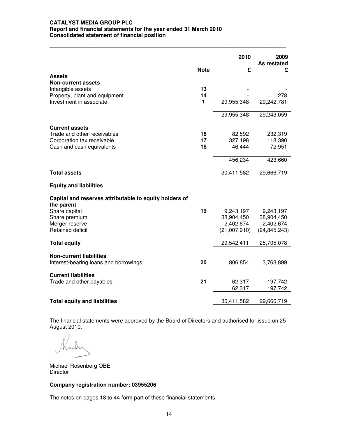#### **CATALYST MEDIA GROUP PLC Report and financial statements for the year ended 31 March 2010 Consolidated statement of financial position**

|                                                                      |             | 2010         | 2009<br>As restated |
|----------------------------------------------------------------------|-------------|--------------|---------------------|
|                                                                      | <b>Note</b> | £            | £                   |
| <b>Assets</b>                                                        |             |              |                     |
| <b>Non-current assets</b>                                            |             |              |                     |
| Intangible assets                                                    | 13          |              |                     |
| Property, plant and equipment<br>Investment in associate             | 14<br>1     |              | 278                 |
|                                                                      |             | 29,955,348   | 29,242,781          |
|                                                                      |             | 29,955,348   | 29,243,059          |
| <b>Current assets</b>                                                |             |              |                     |
| Trade and other receivables                                          | 16          | 82,592       | 232,319             |
| Corporation tax receivable                                           | 17          | 327,198      | 118,390             |
| Cash and cash equivalents                                            | 18          | 46,444       | 72,951              |
|                                                                      |             | 456,234      | 423,660             |
| <b>Total assets</b>                                                  |             | 30,411,582   | 29,666,719          |
| <b>Equity and liabilities</b>                                        |             |              |                     |
| Capital and reserves attributable to equity holders of<br>the parent |             |              |                     |
| Share capital                                                        | 19          | 9,243,197    | 9,243,197           |
| Share premium                                                        |             | 38,904,450   | 38,904,450          |
| Merger reserve                                                       |             | 2,402,674    | 2,402,674           |
| <b>Retained deficit</b>                                              |             | (21,007,910) | (24, 845, 243)      |
| <b>Total equity</b>                                                  |             | 29,542,411   | 25,705,078          |
|                                                                      |             |              |                     |
| <b>Non-current liabilities</b>                                       |             |              |                     |
| Interest-bearing loans and borrowings                                | 20          | 806,854      | 3,763,899           |
| <b>Current liabilities</b>                                           |             |              |                     |
| Trade and other payables                                             | 21          | 62,317       | 197,742             |
|                                                                      |             | 62,317       | 197,742             |
| <b>Total equity and liabilities</b>                                  |             | 30,411,582   | 29,666,719          |

**\_\_\_\_\_\_\_\_\_\_\_\_\_\_\_\_\_\_\_\_\_\_\_\_\_\_\_\_\_\_\_\_\_\_\_\_\_\_\_\_\_\_\_\_\_\_\_\_\_\_\_\_\_\_\_\_\_\_\_\_\_\_\_\_\_\_\_\_\_\_\_\_\_\_\_\_\_** 

The financial statements were approved by the Board of Directors and authorised for issue on 25 August 2010.

Michael Rosenberg OBE **Director** 

#### **Company registration number: 03955206**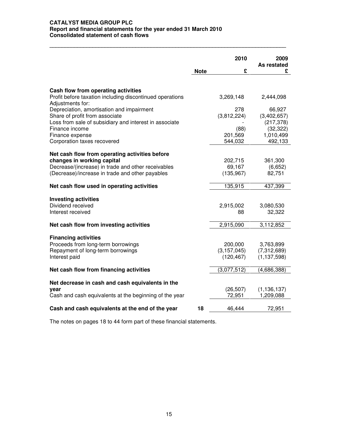#### **CATALYST MEDIA GROUP PLC Report and financial statements for the year ended 31 March 2010 Consolidated statement of cash flows**

|                                                                                                                     |             | 2010                     | 2009<br>As restated        |
|---------------------------------------------------------------------------------------------------------------------|-------------|--------------------------|----------------------------|
|                                                                                                                     | <b>Note</b> | £                        | £                          |
|                                                                                                                     |             |                          |                            |
| Cash flow from operating activities<br>Profit before taxation including discontinued operations<br>Adjustments for: |             | 3,269,148                | 2,444,098                  |
| Depreciation, amortisation and impairment<br>Share of profit from associate                                         |             | 278<br>(3,812,224)       | 66,927<br>(3,402,657)      |
| Loss from sale of subsidiary and interest in associate<br>Finance income                                            |             | (88)                     | (217, 378)<br>(32, 322)    |
| Finance expense<br>Corporation taxes recovered                                                                      |             | 201,569<br>544,032       | 1,010,499<br>492,133       |
| Net cash flow from operating activities before<br>changes in working capital                                        |             | 202,715                  | 361,300                    |
| Decrease/(increase) in trade and other receivables<br>(Decrease)/increase in trade and other payables               |             | 69,167<br>(135, 967)     | (6,652)<br>82,751          |
| Net cash flow used in operating activities                                                                          |             | 135,915                  | 437,399                    |
| <b>Investing activities</b><br>Dividend received                                                                    |             | 2,915,002                | 3,080,530                  |
| Interest received                                                                                                   |             | 88                       | 32,322                     |
| Net cash flow from investing activities                                                                             |             | 2,915,090                | 3,112,852                  |
| <b>Financing activities</b><br>Proceeds from long-term borrowings<br>Repayment of long-term borrowings              |             | 200,000<br>(3, 157, 045) | 3,763,899<br>(7,312,689)   |
| Interest paid                                                                                                       |             | (120, 467)               | (1, 137, 598)              |
| Net cash flow from financing activities                                                                             |             | (3,077,512)              | (4,686,388)                |
| Net decrease in cash and cash equivalents in the                                                                    |             |                          |                            |
| year<br>Cash and cash equivalents at the beginning of the year                                                      |             | (26, 507)<br>72,951      | (1, 136, 137)<br>1,209,088 |
| Cash and cash equivalents at the end of the year                                                                    | 18          | 46,444                   | 72,951                     |

**\_\_\_\_\_\_\_\_\_\_\_\_\_\_\_\_\_\_\_\_\_\_\_\_\_\_\_\_\_\_\_\_\_\_\_\_\_\_\_\_\_\_\_\_\_\_\_\_\_\_\_\_\_\_\_\_\_\_\_\_\_\_\_\_\_\_\_\_\_\_\_\_\_\_\_\_\_**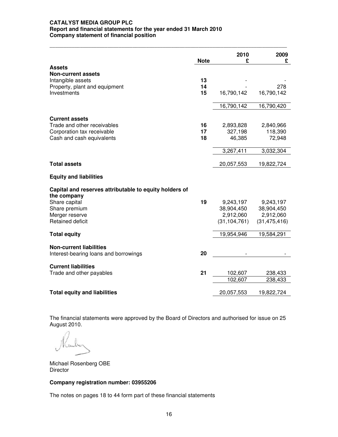#### **CATALYST MEDIA GROUP PLC Report and financial statements for the year ended 31 March 2010 Company statement of financial position**

|                                                                       | <b>Note</b> | 2010<br>£      | 2009<br>£      |
|-----------------------------------------------------------------------|-------------|----------------|----------------|
| <b>Assets</b>                                                         |             |                |                |
| <b>Non-current assets</b>                                             |             |                |                |
| Intangible assets                                                     | 13          |                |                |
| Property, plant and equipment                                         | 14          |                | 278            |
| Investments                                                           | 15          | 16,790,142     | 16,790,142     |
|                                                                       |             | 16,790,142     | 16,790,420     |
| <b>Current assets</b>                                                 |             |                |                |
| Trade and other receivables                                           | 16          | 2,893,828      | 2,840,966      |
| Corporation tax receivable                                            | 17          | 327,198        | 118,390        |
| Cash and cash equivalents                                             | 18          | 46,385         | 72,948         |
|                                                                       |             | 3,267,411      | 3,032,304      |
| <b>Total assets</b>                                                   |             | 20,057,553     | 19,822,724     |
| <b>Equity and liabilities</b>                                         |             |                |                |
| Capital and reserves attributable to equity holders of<br>the company |             |                |                |
| Share capital                                                         | 19          | 9,243,197      | 9,243,197      |
| Share premium                                                         |             | 38,904,450     | 38,904,450     |
| Merger reserve                                                        |             | 2,912,060      | 2,912,060      |
| <b>Retained deficit</b>                                               |             | (31, 104, 761) | (31, 475, 416) |
| <b>Total equity</b>                                                   |             | 19,954,946     | 19,584,291     |
| <b>Non-current liabilities</b>                                        |             |                |                |
| Interest-bearing loans and borrowings                                 | 20          |                |                |
| <b>Current liabilities</b>                                            |             |                |                |
| Trade and other payables                                              | 21          | 102,607        | 238,433        |
|                                                                       |             | 102,607        | 238,433        |
| <b>Total equity and liabilities</b>                                   |             | 20,057,553     | 19,822,724     |

The financial statements were approved by the Board of Directors and authorised for issue on 25 August 2010.

Michael Rosenberg OBE **Director** 

#### **Company registration number: 03955206**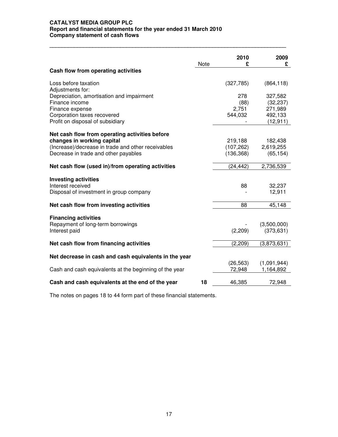#### **CATALYST MEDIA GROUP PLC Report and financial statements for the year ended 31 March 2010 Company statement of cash flows**

|                                                                                                                                                                            | Note | 2010<br>£                           | 2009<br>£                                               |
|----------------------------------------------------------------------------------------------------------------------------------------------------------------------------|------|-------------------------------------|---------------------------------------------------------|
| Cash flow from operating activities                                                                                                                                        |      |                                     |                                                         |
| Loss before taxation<br>Adjustments for:                                                                                                                                   |      | (327, 785)                          | (864, 118)                                              |
| Depreciation, amortisation and impairment<br>Finance income<br>Finance expense<br>Corporation taxes recovered<br>Profit on disposal of subsidiary                          |      | 278<br>(88)<br>2,751<br>544,032     | 327,582<br>(32, 237)<br>271,989<br>492,133<br>(12, 911) |
| Net cash flow from operating activities before<br>changes in working capital<br>(Increase)/decrease in trade and other receivables<br>Decrease in trade and other payables |      | 219,188<br>(107, 262)<br>(136, 368) | 182,438<br>2,619,255<br>(65, 154)                       |
| Net cash flow (used in)/from operating activities                                                                                                                          |      | (24, 442)                           | 2,736,539                                               |
| <b>Investing activities</b><br>Interest received<br>Disposal of investment in group company                                                                                |      | 88                                  | 32,237<br>12,911                                        |
| Net cash flow from investing activities                                                                                                                                    |      | 88                                  | 45,148                                                  |
| <b>Financing activities</b><br>Repayment of long-term borrowings<br>Interest paid                                                                                          |      | (2,209)                             | (3,500,000)<br>(373, 631)                               |
| Net cash flow from financing activities                                                                                                                                    |      | (2, 209)                            | (3,873,631)                                             |
| Net decrease in cash and cash equivalents in the year                                                                                                                      |      |                                     |                                                         |
| Cash and cash equivalents at the beginning of the year                                                                                                                     |      | (26, 563)<br>72,948                 | (1,091,944)<br>1,164,892                                |
| Cash and cash equivalents at the end of the year                                                                                                                           | 18   | 46,385                              | 72,948                                                  |

**\_\_\_\_\_\_\_\_\_\_\_\_\_\_\_\_\_\_\_\_\_\_\_\_\_\_\_\_\_\_\_\_\_\_\_\_\_\_\_\_\_\_\_\_\_\_\_\_\_\_\_\_\_\_\_\_\_\_\_\_\_\_\_\_\_\_\_\_\_\_\_\_\_\_\_\_\_**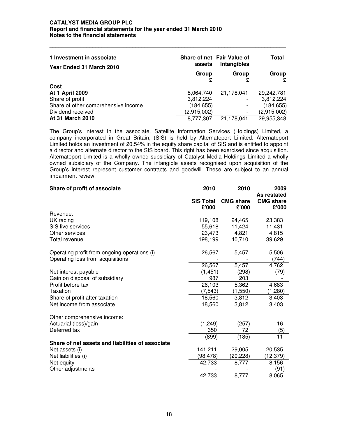| 1 Investment in associate<br>Year Ended 31 March 2010 | assets      | Share of net Fair Value of<br>Intangibles | Total       |
|-------------------------------------------------------|-------------|-------------------------------------------|-------------|
|                                                       | Group       | Group                                     | Group<br>£  |
| Cost                                                  |             |                                           |             |
| <b>At 1 April 2009</b>                                | 8,064,740   | 21,178,041                                | 29,242,781  |
| Share of profit                                       | 3,812,224   |                                           | 3,812,224   |
| Share of other comprehensive income                   | (184, 655)  |                                           | (184, 655)  |
| Dividend received                                     | (2,915,002) | -                                         | (2,915,002) |
| At 31 March 2010                                      | 8,777,307   | 21,178,041                                | 29,955,348  |

**\_\_\_\_\_\_\_\_\_\_\_\_\_\_\_\_\_\_\_\_\_\_\_\_\_\_\_\_\_\_\_\_\_\_\_\_\_\_\_\_\_\_\_\_\_\_\_\_\_\_\_\_\_\_\_\_\_\_\_\_\_\_\_\_\_\_\_\_\_\_\_\_\_\_\_\_\_** 

The Group's interest in the associate, Satellite Information Services (Holdings) Limited, a company incorporated in Great Britain, (SIS) is held by Alternateport Limited. Alternateport Limited holds an investment of 20.54% in the equity share capital of SIS and is entitled to appoint a director and alternate director to the SIS board. This right has been exercised since acquisition. Alternateport Limited is a wholly owned subsidiary of Catalyst Media Holdings Limited a wholly owned subsidiary of the Company. The intangible assets recognised upon acquisition of the Group's interest represent customer contracts and goodwill. These are subject to an annual impairment review.

| Share of profit of associate                     | 2010             | 2010             | 2009                   |
|--------------------------------------------------|------------------|------------------|------------------------|
|                                                  |                  |                  | As restated            |
|                                                  | <b>SIS Total</b> | <b>CMG share</b> | <b>CMG</b> share       |
|                                                  | £'000            | £'000            | £'000                  |
| Revenue:                                         |                  |                  |                        |
| UK racing                                        | 119,108          | 24,465           | 23,383                 |
| SIS live services                                | 55,618           | 11,424           | 11,431                 |
| Other services                                   | 23,473           | 4,821            | 4,815                  |
| Total revenue                                    | 198,199          | 40,710           | 39,629                 |
| Operating profit from ongoing operations (i)     | 26,567           | 5,457            | 5,506                  |
| Operating loss from acquisitions                 |                  |                  | (744)                  |
|                                                  | 26,567           | 5,457            | 4,762                  |
| Net interest payable                             | (1, 451)         | (298)            | (79)                   |
| Gain on disposal of subsidiary                   | 987              | 203              |                        |
| Profit before tax                                | 26,103           | 5,362            | 4,683                  |
| Taxation                                         | (7, 543)         | (1, 550)         | (1,280)                |
| Share of profit after taxation                   | 18,560           | 3,812            | 3,403                  |
| Net income from associate                        | 18,560           | 3,812            | 3,403                  |
|                                                  |                  |                  |                        |
| Other comprehensive income:                      |                  |                  | 16                     |
| Actuarial (loss)/gain<br>Deferred tax            | (1, 249)<br>350  | (257)<br>72      |                        |
|                                                  |                  | (185)            | (5)<br>$\overline{11}$ |
|                                                  | (899)            |                  |                        |
| Share of net assets and liabilities of associate |                  |                  |                        |
| Net assets (i)                                   | 141,211          | 29,005           | 20,535                 |
| Net liabilities (i)                              | (98,478)         | (20, 228)        | (12, 379)              |
| Net equity                                       | 42,733           | 8,777            | 8,156                  |
| Other adjustments                                |                  |                  | (91)                   |
|                                                  | 42,733           | 8,777            | 8,065                  |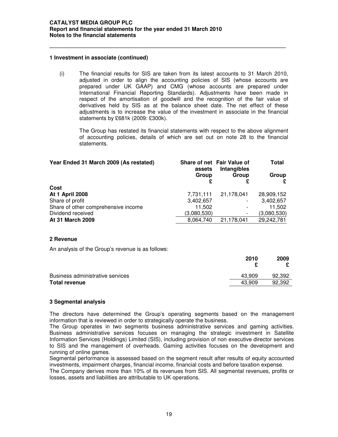#### **1 Investment in associate (continued)**

(i) The financial results for SIS are taken from its latest accounts to 31 March 2010, adjusted in order to align the accounting policies of SIS (whose accounts are prepared under UK GAAP) and CMG (whose accounts are prepared under International Financial Reporting Standards). Adjustments have been made in respect of the amortisation of goodwill and the recognition of the fair value of derivatives held by SIS as at the balance sheet date. The net effect of these adjustments is to increase the value of the investment in associate in the financial statements by £681k (2009: £300k).

**\_\_\_\_\_\_\_\_\_\_\_\_\_\_\_\_\_\_\_\_\_\_\_\_\_\_\_\_\_\_\_\_\_\_\_\_\_\_\_\_\_\_\_\_\_\_\_\_\_\_\_\_\_\_\_\_\_\_\_\_\_\_\_\_\_\_\_\_\_\_\_\_\_\_\_\_\_** 

The Group has restated its financial statements with respect to the above alignment of accounting policies, details of which are set out on note 28 to the financial statements.

| Year Ended 31 March 2009 (As restated) | assets      | Share of net Fair Value of<br>Intangibles | <b>Total</b> |
|----------------------------------------|-------------|-------------------------------------------|--------------|
|                                        | Group       | Group                                     | Group        |
| Cost                                   |             |                                           |              |
| <b>At 1 April 2008</b>                 | 7,731,111   | 21,178,041                                | 28,909,152   |
| Share of profit                        | 3,402,657   |                                           | 3,402,657    |
| Share of other comprehensive income    | 11,502      |                                           | 11,502       |
| Dividend received                      | (3,080,530) |                                           | (3,080,530)  |
| At 31 March 2009                       | 8,064,740   | 21,178,041                                | 29,242,781   |

#### **2 Revenue**

An analysis of the Group's revenue is as follows:

|        | 2009   |
|--------|--------|
| 43.909 | 92,392 |
| 43.909 | 92.392 |
|        | 2010   |

#### **3 Segmental analysis**

The directors have determined the Group's operating segments based on the management information that is reviewed in order to strategically operate the business.

The Group operates in two segments business administrative services and gaming activities. Business administrative services focuses on managing the strategic investment in Satellite Information Services (Holdings) Limited (SIS), including provision of non executive director services to SIS and the management of overheads. Gaming activities focuses on the development and running of online games.

Segmental performance is assessed based on the segment result after results of equity accounted investments, impairment charges, financial income, financial costs and before taxation expense.

The Company derives more than 10% of its revenues from SIS. All segmental revenues, profits or losses, assets and liabilities are attributable to UK operations.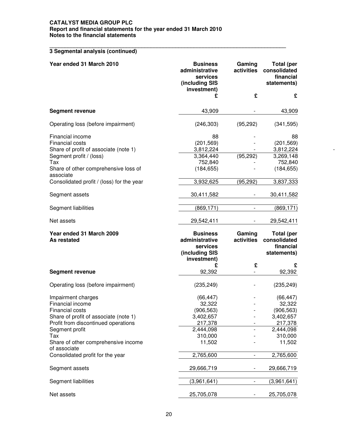**\_\_\_\_\_\_\_\_\_\_\_\_\_\_\_\_\_\_\_\_\_\_\_\_\_\_\_\_\_\_\_\_\_\_\_\_\_\_\_\_\_\_\_\_\_\_\_\_\_\_\_\_\_\_\_\_\_\_\_\_\_\_\_\_\_\_\_\_\_\_\_\_\_\_\_\_\_** 

| 3 Segmental analysis (continued)                                                                                                                 |                                                                                |                               |                                                               |
|--------------------------------------------------------------------------------------------------------------------------------------------------|--------------------------------------------------------------------------------|-------------------------------|---------------------------------------------------------------|
| Year ended 31 March 2010                                                                                                                         | <b>Business</b><br>administrative<br>services<br>(including SIS<br>investment) | Gaming<br>activities          | <b>Total (per</b><br>consolidated<br>financial<br>statements) |
|                                                                                                                                                  | £                                                                              | £                             | £                                                             |
| <b>Segment revenue</b>                                                                                                                           | 43,909                                                                         |                               | 43,909                                                        |
| Operating loss (before impairment)                                                                                                               | (246, 303)                                                                     | (95, 292)                     | (341, 595)                                                    |
| Financial income<br><b>Financial costs</b><br>Share of profit of associate (note 1)<br>Segment profit / (loss)                                   | 88<br>(201, 569)<br>3,812,224<br>3,364,440                                     | (95, 292)                     | 88<br>(201, 569)<br>3,812,224<br>3,269,148                    |
| Tax<br>Share of other comprehensive loss of<br>associate                                                                                         | 752,840<br>(184, 655)                                                          |                               | 752,840<br>(184, 655)                                         |
| Consolidated profit / (loss) for the year                                                                                                        | 3,932,625                                                                      | (95, 292)                     | 3,837,333                                                     |
| Segment assets                                                                                                                                   | 30,411,582                                                                     |                               | 30,411,582                                                    |
| Segment liabilities                                                                                                                              | (869, 171)                                                                     | $\overline{\phantom{0}}$      | (869, 171)                                                    |
| Net assets                                                                                                                                       | 29,542,411                                                                     |                               | 29,542,411                                                    |
| Year ended 31 March 2009<br>As restated                                                                                                          | <b>Business</b><br>administrative<br>services<br>(including SIS<br>investment) | Gaming<br>activities          | <b>Total (per</b><br>consolidated<br>financial<br>statements) |
| <b>Segment revenue</b>                                                                                                                           | £<br>92,392                                                                    | £<br>$\overline{\phantom{0}}$ | £<br>92,392                                                   |
| Operating loss (before impairment)                                                                                                               | (235, 249)                                                                     |                               | (235, 249)                                                    |
| Impairment charges<br>Financial income<br><b>Financial costs</b><br>Share of profit of associate (note 1)<br>Profit from discontinued operations | (66, 447)<br>32,322<br>(906, 563)<br>3,402,657<br>217,378                      |                               | (66, 447)<br>32,322<br>(906, 563)<br>3,402,657<br>217,378     |
| Segment profit<br>Tax<br>Share of other comprehensive income                                                                                     | 2,444,098<br>310,000<br>11,502                                                 |                               | 2,444,098<br>310,000<br>11,502                                |
| of associate<br>Consolidated profit for the year                                                                                                 | 2,765,600                                                                      | $\overline{\phantom{0}}$      | 2,765,600                                                     |
| Segment assets                                                                                                                                   | 29,666,719                                                                     |                               | 29,666,719                                                    |
| Segment liabilities                                                                                                                              | (3,961,641)                                                                    | $\overline{\phantom{a}}$      | (3,961,641)                                                   |
| Net assets                                                                                                                                       | 25,705,078                                                                     |                               | 25,705,078                                                    |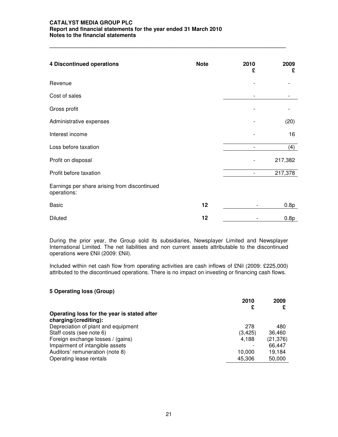| <b>4 Discontinued operations</b>                            | <b>Note</b> | 2010<br>£      | 2009<br>£ |
|-------------------------------------------------------------|-------------|----------------|-----------|
| Revenue                                                     |             |                |           |
| Cost of sales                                               |             |                |           |
| Gross profit                                                |             |                |           |
| Administrative expenses                                     |             |                | (20)      |
| Interest income                                             |             |                | 16        |
| Loss before taxation                                        |             | $\overline{a}$ | (4)       |
| Profit on disposal                                          |             |                | 217,382   |
| Profit before taxation                                      |             |                | 217,378   |
| Earnings per share arising from discontinued<br>operations: |             |                |           |
| <b>Basic</b>                                                | 12          |                | 0.8p      |
| <b>Diluted</b>                                              | 12          |                | 0.8p      |

**\_\_\_\_\_\_\_\_\_\_\_\_\_\_\_\_\_\_\_\_\_\_\_\_\_\_\_\_\_\_\_\_\_\_\_\_\_\_\_\_\_\_\_\_\_\_\_\_\_\_\_\_\_\_\_\_\_\_\_\_\_\_\_\_\_\_\_\_\_\_\_\_\_\_\_\_\_** 

During the prior year, the Group sold its subsidiaries, Newsplayer Limited and Newsplayer International Limited. The net liabilities and non current assets attributable to the discontinued operations were £Nil (2009: £Nil).

Included within net cash flow from operating activities are cash inflows of £Nil (2009: £225,000) attributed to the discontinued operations. There is no impact on investing or financing cash flows.

#### **5 Operating loss (Group)**

|                                             | 2010<br>£ | 2009      |
|---------------------------------------------|-----------|-----------|
| Operating loss for the year is stated after |           |           |
| charging/(crediting):                       |           |           |
| Depreciation of plant and equipment         | 278       | 480       |
| Staff costs (see note 6)                    | (3, 425)  | 36,460    |
| Foreign exchange losses / (gains)           | 4,188     | (21, 376) |
| Impairment of intangible assets             |           | 66.447    |
| Auditors' remuneration (note 8)             | 10.000    | 19.184    |
| Operating lease rentals                     | 45,306    | 50,000    |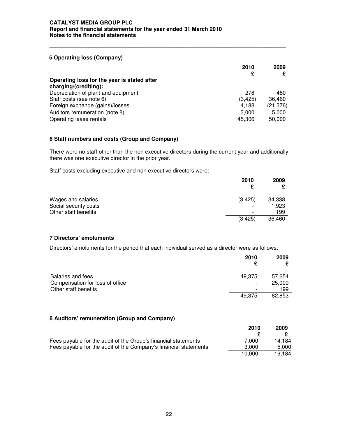#### **5 Operating loss (Company)**

|                                             | 2010<br>£ | 2009      |
|---------------------------------------------|-----------|-----------|
| Operating loss for the year is stated after |           |           |
| charging/(crediting):                       |           |           |
| Depreciation of plant and equipment         | 278       | 480       |
| Staff costs (see note 6)                    | (3, 425)  | 36.460    |
| Foreign exchange (gains)/losses             | 4.188     | (21, 376) |
| Auditors remuneration (note 8)              | 3,000     | 5.000     |
| Operating lease rentals                     | 45.306    | 50,000    |

**\_\_\_\_\_\_\_\_\_\_\_\_\_\_\_\_\_\_\_\_\_\_\_\_\_\_\_\_\_\_\_\_\_\_\_\_\_\_\_\_\_\_\_\_\_\_\_\_\_\_\_\_\_\_\_\_\_\_\_\_\_\_\_\_\_\_\_\_\_\_\_\_\_\_\_\_\_** 

#### **6 Staff numbers and costs (Group and Company)**

There were no staff other than the non executive directors during the current year and additionally there was one executive director in the prior year.

Staff costs excluding executive and non executive directors were:

|                       | 2010     | 2009   |
|-----------------------|----------|--------|
| Wages and salaries    | (3, 425) | 34,338 |
| Social security costs |          | 1,923  |
| Other staff benefits  |          | 199    |
|                       | (3,425)  | 36,460 |

#### **7 Directors' emoluments**

Directors' emoluments for the period that each individual served as a director were as follows:

|                                 | 2010   | 2009   |
|---------------------------------|--------|--------|
| Salaries and fees               | 49,375 | 57.654 |
| Compensation for loss of office |        | 25,000 |
| Other staff benefits            |        | 199    |
|                                 | 49.375 | 82.853 |

#### **8 Auditors' remuneration (Group and Company)**

|                                                                  | 2010   | 2009   |  |
|------------------------------------------------------------------|--------|--------|--|
|                                                                  |        |        |  |
| Fees payable for the audit of the Group's financial statements   | 7.000  | 14.184 |  |
| Fees payable for the audit of the Company's financial statements | 3.000  | 5.000  |  |
|                                                                  | 10.000 | 19.184 |  |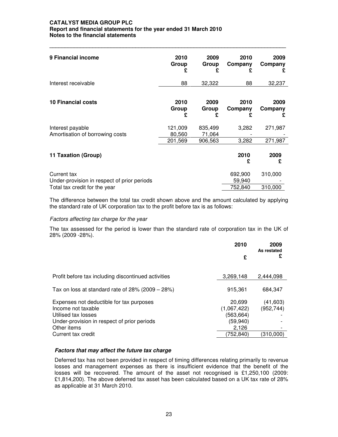| 9 Financial income                                                                          | 2010<br>Group<br>£           | 2009<br>Group                | 2010<br>Company<br>£         | 2009<br>Company<br>£ |
|---------------------------------------------------------------------------------------------|------------------------------|------------------------------|------------------------------|----------------------|
| Interest receivable                                                                         | 88                           | 32,322                       | 88                           | 32,237               |
| <b>10 Financial costs</b>                                                                   | 2010<br>Group<br>£           | 2009<br>Group<br>£           | 2010<br>Company<br>£         | 2009<br>Company<br>£ |
| Interest payable<br>Amortisation of borrowing costs                                         | 121,009<br>80,560<br>201,569 | 835,499<br>71,064<br>906,563 | 3,282<br>3,282               | 271,987<br>271,987   |
| 11 Taxation (Group)                                                                         |                              |                              | 2010<br>£                    | 2009<br>£            |
| Current tax<br>Under-provision in respect of prior periods<br>Total tax credit for the year |                              |                              | 692,900<br>59,940<br>752,840 | 310,000<br>310,000   |

**\_\_\_\_\_\_\_\_\_\_\_\_\_\_\_\_\_\_\_\_\_\_\_\_\_\_\_\_\_\_\_\_\_\_\_\_\_\_\_\_\_\_\_\_\_\_\_\_\_\_\_\_\_\_\_\_\_\_\_\_\_\_\_\_\_\_\_\_\_\_\_\_\_\_\_\_\_** 

The difference between the total tax credit shown above and the amount calculated by applying the standard rate of UK corporation tax to the profit before tax is as follows:

#### Factors affecting tax charge for the year

The tax assessed for the period is lower than the standard rate of corporation tax in the UK of 28% (2009 -28%).

|                                                                                                                                                     | 2010                                                     | 2009<br>As restated    |
|-----------------------------------------------------------------------------------------------------------------------------------------------------|----------------------------------------------------------|------------------------|
|                                                                                                                                                     | £                                                        | £                      |
| Profit before tax including discontinued activities                                                                                                 | 3,269,148                                                | 2,444,098              |
| Tax on loss at standard rate of $28\%$ (2009 – 28%)                                                                                                 | 915,361                                                  | 684,347                |
| Expenses not deductible for tax purposes<br>Income not taxable<br>Utilised tax losses<br>Under-provision in respect of prior periods<br>Other items | 20.699<br>(1,067,422)<br>(563,664)<br>(59, 940)<br>2,126 | (41,603)<br>(952, 744) |
| Current tax credit                                                                                                                                  | (752,840)                                                | (310,000)              |

#### **Factors that may affect the future tax charge**

Deferred tax has not been provided in respect of timing differences relating primarily to revenue losses and management expenses as there is insufficient evidence that the benefit of the losses will be recovered. The amount of the asset not recognised is £1,250,100 (2009: £1,814,200). The above deferred tax asset has been calculated based on a UK tax rate of 28% as applicable at 31 March 2010.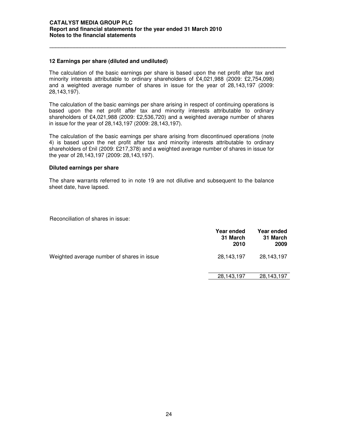#### **12 Earnings per share (diluted and undiluted)**

 The calculation of the basic earnings per share is based upon the net profit after tax and minority interests attributable to ordinary shareholders of £4,021,988 (2009: £2,754,098) and a weighted average number of shares in issue for the year of 28,143,197 (2009: 28,143,197).

**\_\_\_\_\_\_\_\_\_\_\_\_\_\_\_\_\_\_\_\_\_\_\_\_\_\_\_\_\_\_\_\_\_\_\_\_\_\_\_\_\_\_\_\_\_\_\_\_\_\_\_\_\_\_\_\_\_\_\_\_\_\_\_\_\_\_\_\_\_\_\_\_\_\_\_\_\_** 

The calculation of the basic earnings per share arising in respect of continuing operations is based upon the net profit after tax and minority interests attributable to ordinary shareholders of £4,021,988 (2009: £2,536,720) and a weighted average number of shares in issue for the year of 28,143,197 (2009: 28,143,197).

The calculation of the basic earnings per share arising from discontinued operations (note 4) is based upon the net profit after tax and minority interests attributable to ordinary shareholders of £nil (2009: £217,378) and a weighted average number of shares in issue for the year of 28,143,197 (2009: 28,143,197).

#### **Diluted earnings per share**

The share warrants referred to in note 19 are not dilutive and subsequent to the balance sheet date, have lapsed.

Reconciliation of shares in issue:

|                                            | Year ended<br>31 March<br>2010 | Year ended<br>31 March<br>2009 |
|--------------------------------------------|--------------------------------|--------------------------------|
| Weighted average number of shares in issue | 28,143,197                     | 28,143,197                     |
|                                            | 28,143,197                     | 28,143,197                     |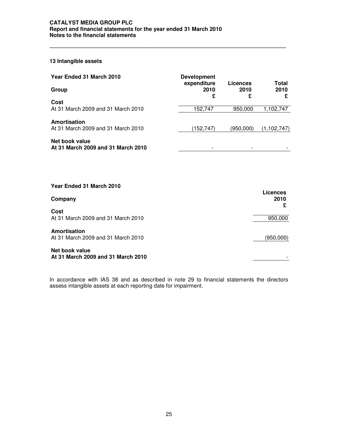#### **13 Intangible assets**

| Year Ended 31 March 2010                             | <b>Development</b><br>expenditure | <b>Licences</b> | Total         |
|------------------------------------------------------|-----------------------------------|-----------------|---------------|
| Group                                                | 2010<br>£                         | 2010<br>£       | 2010          |
| Cost                                                 |                                   |                 |               |
| At 31 March 2009 and 31 March 2010                   | 152,747                           | 950,000         | 1,102,747     |
| Amortisation                                         |                                   |                 |               |
| At 31 March 2009 and 31 March 2010                   | (152,747)                         | (950,000)       | (1, 102, 747) |
| Net book value<br>At 31 March 2009 and 31 March 2010 |                                   |                 |               |

**\_\_\_\_\_\_\_\_\_\_\_\_\_\_\_\_\_\_\_\_\_\_\_\_\_\_\_\_\_\_\_\_\_\_\_\_\_\_\_\_\_\_\_\_\_\_\_\_\_\_\_\_\_\_\_\_\_\_\_\_\_\_\_\_\_\_\_\_\_\_\_\_\_\_\_\_\_** 

| Year Ended 31 March 2010                             |                         |
|------------------------------------------------------|-------------------------|
| Company                                              | <b>Licences</b><br>2010 |
| Cost<br>At 31 March 2009 and 31 March 2010           | 950,000                 |
| Amortisation<br>At 31 March 2009 and 31 March 2010   | (950,000)               |
| Net book value<br>At 31 March 2009 and 31 March 2010 |                         |

In accordance with IAS 38 and as described in note 29 to financial statements the directors assess intangible assets at each reporting date for impairment.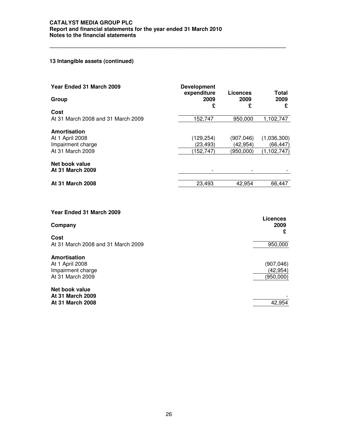#### **13 Intangible assets (continued)**

| Year Ended 31 March 2009                                                        | <b>Development</b><br>expenditure | <b>Licences</b> | Total<br>2009<br>£                   |
|---------------------------------------------------------------------------------|-----------------------------------|-----------------|--------------------------------------|
| Group                                                                           | 2009<br>£                         | 2009<br>£       |                                      |
| Cost                                                                            |                                   |                 |                                      |
| At 31 March 2008 and 31 March 2009                                              | 152,747                           | 950,000         | 1,102,747                            |
| <b>Amortisation</b>                                                             |                                   |                 |                                      |
| At 1 April 2008                                                                 | (129, 254)                        | (907, 046)      | (1,036,300)                          |
| Impairment charge                                                               | (23, 493)                         | (42, 954)       | (66, 447)                            |
| At 31 March 2009                                                                | (152, 747)                        | (950,000)       | (1, 102, 747)                        |
| Net book value<br>At 31 March 2009                                              |                                   |                 |                                      |
| At 31 March 2008                                                                | 23,493                            | 42,954          | 66,447                               |
| Year Ended 31 March 2009                                                        |                                   |                 |                                      |
| Company                                                                         |                                   |                 | <b>Licences</b><br>2009<br>£         |
| Cost                                                                            |                                   |                 |                                      |
| At 31 March 2008 and 31 March 2009                                              |                                   |                 | 950,000                              |
| <b>Amortisation</b><br>At 1 April 2008<br>Impairment charge<br>At 31 March 2009 |                                   |                 | (907, 046)<br>(42, 954)<br>(950,000) |
| Net book value                                                                  |                                   |                 |                                      |

**\_\_\_\_\_\_\_\_\_\_\_\_\_\_\_\_\_\_\_\_\_\_\_\_\_\_\_\_\_\_\_\_\_\_\_\_\_\_\_\_\_\_\_\_\_\_\_\_\_\_\_\_\_\_\_\_\_\_\_\_\_\_\_\_\_\_\_\_\_\_\_\_\_\_\_\_\_** 

| <b>INGLIDUUN VAIUG</b> |        |
|------------------------|--------|
| At 31 March 2009       |        |
| At 31 March 2008       | 42.954 |
|                        |        |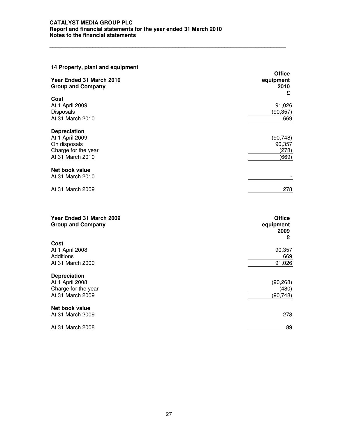#### **14 Property, plant and equipment**

| Year Ended 31 March 2010<br><b>Group and Company</b>                                              | <b>Office</b><br>equipment<br>2010<br>£ |
|---------------------------------------------------------------------------------------------------|-----------------------------------------|
| Cost<br>At 1 April 2009<br>Disposals<br>At 31 March 2010                                          | 91,026<br>(90, 357)<br>669              |
| <b>Depreciation</b><br>At 1 April 2009<br>On disposals<br>Charge for the year<br>At 31 March 2010 | (90, 748)<br>90,357<br>(278)<br>(669)   |
| Net book value<br>At 31 March 2010                                                                |                                         |
| At 31 March 2009                                                                                  | 278                                     |
| Year Ended 31 March 2009<br><b>Group and Company</b>                                              | <b>Office</b><br>equipment<br>2009      |
| <b>Cost</b><br>At 1 April 2008<br><b>Additions</b><br>At 31 March 2009                            | £<br>90,357<br>669<br>91,026            |
| <b>Depreciation</b><br>At 1 April 2008<br>Charge for the year<br>At 31 March 2009                 | (90, 268)<br>(480)<br>(90, 748)         |
| Net book value<br>At 31 March 2009                                                                | 278                                     |

**\_\_\_\_\_\_\_\_\_\_\_\_\_\_\_\_\_\_\_\_\_\_\_\_\_\_\_\_\_\_\_\_\_\_\_\_\_\_\_\_\_\_\_\_\_\_\_\_\_\_\_\_\_\_\_\_\_\_\_\_\_\_\_\_\_\_\_\_\_\_\_\_\_\_\_\_\_** 

At 31 March 2008 89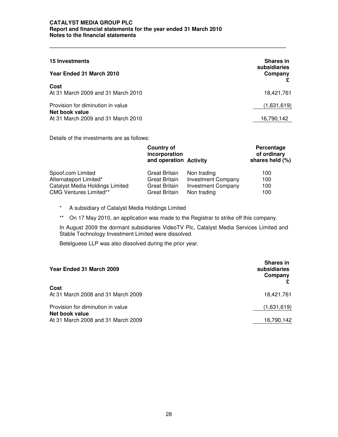| <b>15 Investments</b>                                | <b>Shares in</b><br><b>subsidiaries</b> |
|------------------------------------------------------|-----------------------------------------|
| Year Ended 31 March 2010                             | Company                                 |
| Cost<br>At 31 March 2009 and 31 March 2010           | 18,421,761                              |
| Provision for diminution in value                    | (1,631,619)                             |
| Net book value<br>At 31 March 2009 and 31 March 2010 | 16,790,142                              |

**\_\_\_\_\_\_\_\_\_\_\_\_\_\_\_\_\_\_\_\_\_\_\_\_\_\_\_\_\_\_\_\_\_\_\_\_\_\_\_\_\_\_\_\_\_\_\_\_\_\_\_\_\_\_\_\_\_\_\_\_\_\_\_\_\_\_\_\_\_\_\_\_\_\_\_\_\_** 

Details of the investments are as follows:

|                                 | <b>Country of</b><br>incorporation<br>and operation Activity |                           | Percentage<br>of ordinary<br>shares held (%) |
|---------------------------------|--------------------------------------------------------------|---------------------------|----------------------------------------------|
| Spoof.com Limited               | Great Britain                                                | Non trading               | 100                                          |
| Alternateport Limited*          | Great Britain                                                | <b>Investment Company</b> | 100                                          |
| Catalyst Media Holdings Limited | Great Britain                                                | <b>Investment Company</b> | 100                                          |
| <b>CMG Ventures Limited**</b>   | Great Britain                                                | Non trading               | 100                                          |

- \* A subsidiary of Catalyst Media Holdings Limited
- \*\* On 17 May 2010, an application was made to the Registrar to strike off this company.

In August 2009 the dormant subsidiaries VideoTV Plc, Catalyst Media Services Limited and Stable Technology Investment Limited were dissolved.

Betelguese LLP was also dissolved during the prior year.

| Year Ended 31 March 2009                            | <b>Shares in</b><br>subsidiaries<br>Company |
|-----------------------------------------------------|---------------------------------------------|
| Cost<br>At 31 March 2008 and 31 March 2009          | 18,421,761                                  |
| Provision for diminution in value<br>Net book value | (1,631,619)                                 |
| At 31 March 2008 and 31 March 2009                  | 16,790,142                                  |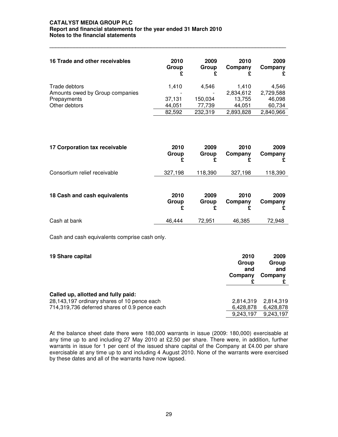| 16 Trade and other receivables  | 2010<br>Group<br>£ | 2009<br>Group | 2010<br>Company | 2009<br>Company |
|---------------------------------|--------------------|---------------|-----------------|-----------------|
| Trade debtors                   | 1.410              | 4.546         | 1.410           | 4.546           |
| Amounts owed by Group companies |                    |               | 2,834,612       | 2,729,588       |
| Prepayments                     | 37,131             | 150,034       | 13,755          | 46,098          |
| Other debtors                   | 44,051             | 77,739        | 44.051          | 60,734          |
|                                 | 82,592             | 232,319       | 2,893,828       | 2,840,966       |

**\_\_\_\_\_\_\_\_\_\_\_\_\_\_\_\_\_\_\_\_\_\_\_\_\_\_\_\_\_\_\_\_\_\_\_\_\_\_\_\_\_\_\_\_\_\_\_\_\_\_\_\_\_\_\_\_\_\_\_\_\_\_\_\_\_\_\_\_\_\_\_\_\_\_\_\_\_** 

| 17 Corporation tax receivable | 2010<br>Group<br>£ | 2009<br>Group<br>£ | 2010<br>Company<br>£ | 2009<br>Company |
|-------------------------------|--------------------|--------------------|----------------------|-----------------|
| Consortium relief receivable  | 327,198            | 118,390            | 327,198              | 118,390         |
| 18 Cash and cash equivalents  | 2010<br>Group<br>£ | 2009<br>Group<br>£ | 2010<br>Company<br>£ | 2009<br>Company |
| Cash at bank                  | 46.444             | 72,951             | 46,385               | 72,948          |

Cash and cash equivalents comprise cash only.

| 19 Share capital                              | 2010<br>Group<br>and<br>Company | 2009<br>Group<br>and<br>Company |
|-----------------------------------------------|---------------------------------|---------------------------------|
| Called up, allotted and fully paid:           |                                 |                                 |
| 28,143,197 ordinary shares of 10 pence each   | 2,814,319                       | 2,814,319                       |
| 714,319,736 deferred shares of 0.9 pence each | 6,428,878                       | 6,428,878                       |
|                                               | 9,243,197                       | 9,243,197                       |

At the balance sheet date there were 180,000 warrants in issue (2009: 180,000) exercisable at any time up to and including 27 May 2010 at £2.50 per share. There were, in addition, further warrants in issue for 1 per cent of the issued share capital of the Company at £4.00 per share exercisable at any time up to and including 4 August 2010. None of the warrants were exercised by these dates and all of the warrants have now lapsed.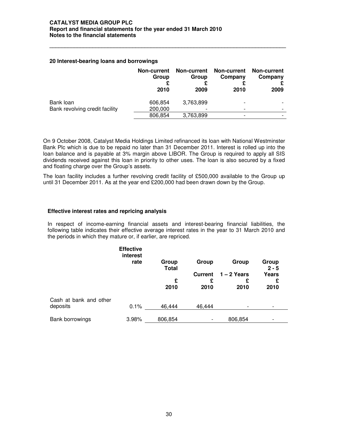#### **20 Interest-bearing loans and borrowings**

|                                | Non-current<br>Group<br>2010 | Non-current<br>Group<br>2009 | Non-current<br>Company<br>2010 | Non-current<br>Company<br>2009 |
|--------------------------------|------------------------------|------------------------------|--------------------------------|--------------------------------|
| Bank loan                      | 606,854                      | 3,763,899                    | $\overline{\phantom{0}}$       |                                |
| Bank revolving credit facility | 200,000                      |                              |                                |                                |
|                                | 806,854                      | 3,763,899                    |                                |                                |

**\_\_\_\_\_\_\_\_\_\_\_\_\_\_\_\_\_\_\_\_\_\_\_\_\_\_\_\_\_\_\_\_\_\_\_\_\_\_\_\_\_\_\_\_\_\_\_\_\_\_\_\_\_\_\_\_\_\_\_\_\_\_\_\_\_\_\_\_\_\_\_\_\_\_\_\_\_** 

On 9 October 2008, Catalyst Media Holdings Limited refinanced its loan with National Westminster Bank Plc which is due to be repaid no later than 31 December 2011. Interest is rolled up into the loan balance and is payable at 3% margin above LIBOR. The Group is required to apply all SIS dividends received against this loan in priority to other uses. The loan is also secured by a fixed and floating charge over the Group's assets.

The loan facility includes a further revolving credit facility of £500,000 available to the Group up until 31 December 2011. As at the year end £200,000 had been drawn down by the Group.

#### **Effective interest rates and repricing analysis**

 In respect of income-earning financial assets and interest-bearing financial liabilities, the following table indicates their effective average interest rates in the year to 31 March 2010 and the periods in which they mature or, if earlier, are repriced.

|                        | <b>Effective</b><br>interest<br>rate | Group<br>Total<br>£ | Group<br><b>Current</b><br>£ | Group<br>$1 - 2$ Years<br>£ | Group<br>$2 - 5$<br>Years<br>£ |
|------------------------|--------------------------------------|---------------------|------------------------------|-----------------------------|--------------------------------|
|                        |                                      | 2010                | 2010                         | 2010                        | 2010                           |
| Cash at bank and other |                                      |                     |                              |                             |                                |
| deposits               | 0.1%                                 | 46.444              | 46,444                       |                             | $\overline{\phantom{a}}$       |
| Bank borrowings        | 3.98%                                | 806,854             | -                            | 806,854                     |                                |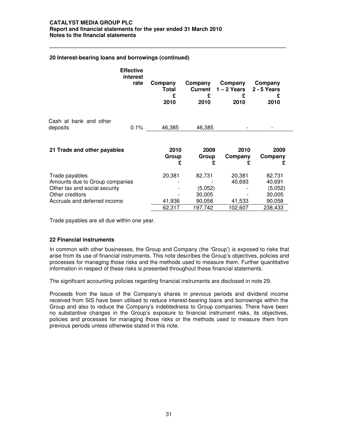**20 Interest-bearing loans and borrowings (continued)**

| zu interest-bearing idans and borrowings (continued)                                                                                 |                                      |                                      |                                        |                                       |                                                 |  |  |
|--------------------------------------------------------------------------------------------------------------------------------------|--------------------------------------|--------------------------------------|----------------------------------------|---------------------------------------|-------------------------------------------------|--|--|
|                                                                                                                                      | <b>Effective</b><br>interest<br>rate | Company<br><b>Total</b><br>£<br>2010 | Company<br><b>Current</b><br>£<br>2010 | Company<br>$1 - 2$ Years<br>£<br>2010 | Company<br>2 - 5 Years<br>£<br>2010             |  |  |
| Cash at bank and other<br>deposits                                                                                                   | 0.1%                                 | 46,385                               | 46,385                                 |                                       |                                                 |  |  |
| 21 Trade and other payables                                                                                                          |                                      | 2010<br>Group<br>£                   | 2009<br>Group<br>£                     | 2010<br>Company<br>£                  | 2009<br>Company<br>£                            |  |  |
| Trade payables<br>Amounts due to Group companies<br>Other tax and social security<br>Other creditors<br>Accruals and deferred income |                                      | 20,381<br>41,936                     | 82,731<br>(5,052)<br>30,005<br>90,058  | 20,381<br>40,693<br>41,533            | 82,731<br>40,691<br>(5,052)<br>30,005<br>90,058 |  |  |
|                                                                                                                                      |                                      | 62,317                               | 197,742                                | 102,607                               | 238,433                                         |  |  |

**\_\_\_\_\_\_\_\_\_\_\_\_\_\_\_\_\_\_\_\_\_\_\_\_\_\_\_\_\_\_\_\_\_\_\_\_\_\_\_\_\_\_\_\_\_\_\_\_\_\_\_\_\_\_\_\_\_\_\_\_\_\_\_\_\_\_\_\_\_\_\_\_\_\_\_\_\_** 

Trade payables are all due within one year.

#### **22 Financial instruments**

In common with other businesses, the Group and Company (the 'Group') is exposed to risks that arise from its use of financial instruments. This note describes the Group's objectives, policies and processes for managing those risks and the methods used to measure them. Further quantitative information in respect of these risks is presented throughout these financial statements.

The significant accounting policies regarding financial instruments are disclosed in note 29.

Proceeds from the issue of the Company's shares in previous periods and dividend income received from SIS have been utilised to reduce interest-bearing loans and borrowings within the Group and also to reduce the Company's indebtedness to Group companies. There have been no substantive changes in the Group's exposure to financial instrument risks, its objectives, policies and processes for managing those risks or the methods used to measure them from previous periods unless otherwise stated in this note.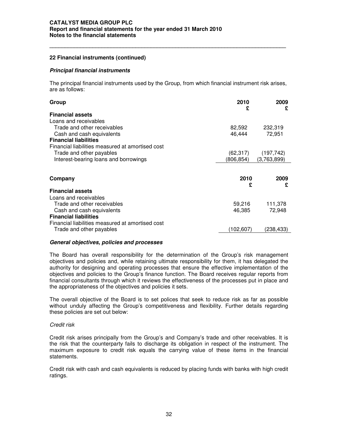#### **22 Financial instruments (continued)**

#### **Principal financial instruments**

The principal financial instruments used by the Group, from which financial instrument risk arises, are as follows:

**\_\_\_\_\_\_\_\_\_\_\_\_\_\_\_\_\_\_\_\_\_\_\_\_\_\_\_\_\_\_\_\_\_\_\_\_\_\_\_\_\_\_\_\_\_\_\_\_\_\_\_\_\_\_\_\_\_\_\_\_\_\_\_\_\_\_\_\_\_\_\_\_\_\_\_\_\_** 

| Group                                            | 2010<br>£ | 2009<br>£   |
|--------------------------------------------------|-----------|-------------|
| <b>Financial assets</b>                          |           |             |
| Loans and receivables                            |           |             |
| Trade and other receivables                      | 82,592    | 232,319     |
| Cash and cash equivalents                        | 46,444    | 72,951      |
| <b>Financial liabilities</b>                     |           |             |
| Financial liabilities measured at amortised cost |           |             |
| Trade and other payables                         | (62, 317) | (197, 742)  |
| Interest-bearing loans and borrowings            | (806,854) | (3,763,899) |
| Company                                          | 2010      | 2009        |
|                                                  | £         | £           |
| <b>Financial assets</b>                          |           |             |
| Loans and receivables                            |           |             |
| Trade and other receivables                      | 59,216    | 111,378     |
| Cash and cash equivalents                        | 46,385    | 72,948      |
| <b>Financial liabilities</b>                     |           |             |
| Financial liabilities measured at amortised cost |           |             |
| Trade and other payables                         | (102,607) | (238,433)   |

#### **General objectives, policies and processes**

The Board has overall responsibility for the determination of the Group's risk management objectives and policies and, while retaining ultimate responsibility for them, it has delegated the authority for designing and operating processes that ensure the effective implementation of the objectives and policies to the Group's finance function. The Board receives regular reports from financial consultants through which it reviews the effectiveness of the processes put in place and the appropriateness of the objectives and policies it sets.

The overall objective of the Board is to set polices that seek to reduce risk as far as possible without unduly affecting the Group's competitiveness and flexibility. Further details regarding these policies are set out below:

#### Credit risk

Credit risk arises principally from the Group's and Company's trade and other receivables. It is the risk that the counterparty fails to discharge its obligation in respect of the instrument. The maximum exposure to credit risk equals the carrying value of these items in the financial statements.

Credit risk with cash and cash equivalents is reduced by placing funds with banks with high credit ratings.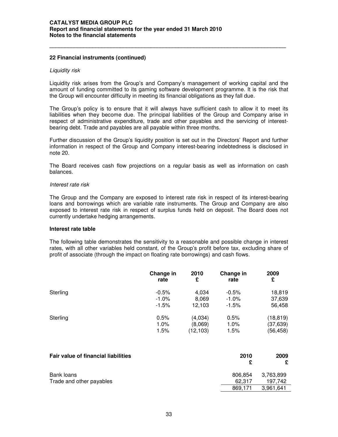#### **22 Financial instruments (continued)**

#### Liquidity risk

Liquidity risk arises from the Group's and Company's management of working capital and the amount of funding committed to its gaming software development programme. It is the risk that the Group will encounter difficulty in meeting its financial obligations as they fall due.

**\_\_\_\_\_\_\_\_\_\_\_\_\_\_\_\_\_\_\_\_\_\_\_\_\_\_\_\_\_\_\_\_\_\_\_\_\_\_\_\_\_\_\_\_\_\_\_\_\_\_\_\_\_\_\_\_\_\_\_\_\_\_\_\_\_\_\_\_\_\_\_\_\_\_\_\_\_** 

The Group's policy is to ensure that it will always have sufficient cash to allow it to meet its liabilities when they become due. The principal liabilities of the Group and Company arise in respect of administrative expenditure, trade and other payables and the servicing of interestbearing debt. Trade and payables are all payable within three months.

Further discussion of the Group's liquidity position is set out in the Directors' Report and further information in respect of the Group and Company interest-bearing indebtedness is disclosed in note 20.

The Board receives cash flow projections on a regular basis as well as information on cash balances.

#### Interest rate risk

The Group and the Company are exposed to interest rate risk in respect of its interest-bearing loans and borrowings which are variable rate instruments. The Group and Company are also exposed to interest rate risk in respect of surplus funds held on deposit. The Board does not currently undertake hedging arrangements.

#### **Interest rate table**

The following table demonstrates the sensitivity to a reasonable and possible change in interest rates, with all other variables held constant, of the Group's profit before tax, excluding share of profit of associate (through the impact on floating rate borrowings) and cash flows.

|          | Change in<br>rate | 2010<br>£ | Change in<br>rate | 2009<br>£ |
|----------|-------------------|-----------|-------------------|-----------|
| Sterling | $-0.5%$           | 4,034     | $-0.5%$           | 18,819    |
|          | $-1.0\%$          | 8,069     | $-1.0\%$          | 37,639    |
|          | $-1.5%$           | 12,103    | $-1.5%$           | 56,458    |
| Sterling | 0.5%              | (4,034)   | 0.5%              | (18, 819) |
|          | $1.0\%$           | (8,069)   | $1.0\%$           | (37, 639) |
|          | 1.5%              | (12,103)  | 1.5%              | (56,458)  |

| <b>Fair value of financial liabilities</b> | 2010<br>c | 2009      |
|--------------------------------------------|-----------|-----------|
| Bank loans                                 | 806.854   | 3.763.899 |
| Trade and other payables                   | 62.317    | 197.742   |
|                                            | 869.171   | 3.961.641 |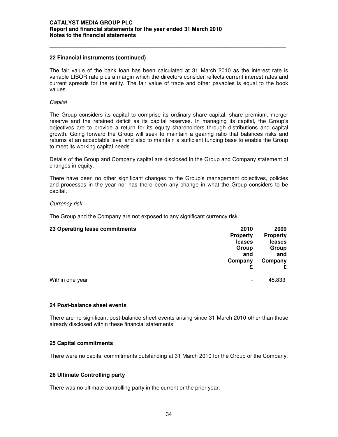#### **22 Financial instruments (continued)**

The fair value of the bank loan has been calculated at 31 March 2010 as the interest rate is variable LIBOR rate plus a margin which the directors consider reflects current interest rates and current spreads for the entity. The fair value of trade and other payables is equal to the book values.

**\_\_\_\_\_\_\_\_\_\_\_\_\_\_\_\_\_\_\_\_\_\_\_\_\_\_\_\_\_\_\_\_\_\_\_\_\_\_\_\_\_\_\_\_\_\_\_\_\_\_\_\_\_\_\_\_\_\_\_\_\_\_\_\_\_\_\_\_\_\_\_\_\_\_\_\_\_** 

#### **Capital**

The Group considers its capital to comprise its ordinary share capital, share premium, merger reserve and the retained deficit as its capital reserves. In managing its capital, the Group's objectives are to provide a return for its equity shareholders through distributions and capital growth. Going forward the Group will seek to maintain a gearing ratio that balances risks and returns at an acceptable level and also to maintain a sufficient funding base to enable the Group to meet its working capital needs.

Details of the Group and Company capital are disclosed in the Group and Company statement of changes in equity.

There have been no other significant changes to the Group's management objectives, policies and processes in the year nor has there been any change in what the Group considers to be capital.

#### Currency risk

The Group and the Company are not exposed to any significant currency risk.

| 23 Operating lease commitments | 2010<br><b>Property</b><br>leases<br>Group<br>and<br>Company | 2009<br><b>Property</b><br>leases<br>Group<br>and<br>Company<br>£ |
|--------------------------------|--------------------------------------------------------------|-------------------------------------------------------------------|
| Within one year                | $\overline{\phantom{a}}$                                     | 45,833                                                            |

#### **24 Post-balance sheet events**

There are no significant post-balance sheet events arising since 31 March 2010 other than those already disclosed within these financial statements.

#### **25 Capital commitments**

There were no capital commitments outstanding at 31 March 2010 for the Group or the Company.

#### **26 Ultimate Controlling party**

There was no ultimate controlling party in the current or the prior year.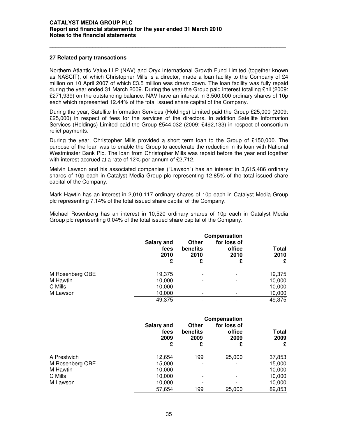#### **27 Related party transactions**

Northern Atlantic Value LLP (NAV) and Oryx International Growth Fund Limited (together known as NASCIT), of which Christopher Mills is a director, made a loan facility to the Company of £4 million on 10 April 2007 of which £3.5 million was drawn down. The loan facility was fully repaid during the year ended 31 March 2009. During the year the Group paid interest totalling £nil (2009: £271,939) on the outstanding balance. NAV have an interest in 3,500,000 ordinary shares of 10p each which represented 12.44% of the total issued share capital of the Company.

**\_\_\_\_\_\_\_\_\_\_\_\_\_\_\_\_\_\_\_\_\_\_\_\_\_\_\_\_\_\_\_\_\_\_\_\_\_\_\_\_\_\_\_\_\_\_\_\_\_\_\_\_\_\_\_\_\_\_\_\_\_\_\_\_\_\_\_\_\_\_\_\_\_\_\_\_\_** 

During the year, Satellite Information Services (Holdings) Limited paid the Group £25,000 (2009: £25,000) in respect of fees for the services of the directors. In addition Satellite Information Services (Holdings) Limited paid the Group £544,032 (2009: £492,133) in respect of consortium relief payments.

During the year, Christopher Mills provided a short term loan to the Group of £150,000. The purpose of the loan was to enable the Group to accelerate the reduction in its loan with National Westminster Bank Plc. The loan from Christopher Mills was repaid before the year end together with interest accrued at a rate of 12% per annum of £2,712.

Melvin Lawson and his associated companies ("Lawson") has an interest in 3,615,486 ordinary shares of 10p each in Catalyst Media Group plc representing 12.85% of the total issued share capital of the Company.

Mark Hawtin has an interest in 2,010,117 ordinary shares of 10p each in Catalyst Media Group plc representing 7.14% of the total issued share capital of the Company.

Michael Rosenberg has an interest in 10,520 ordinary shares of 10p each in Catalyst Media Group plc representing 0.04% of the total issued share capital of the Company.

|                 |                                 | Compensation                          |                                    |                           |
|-----------------|---------------------------------|---------------------------------------|------------------------------------|---------------------------|
|                 | Salary and<br>fees<br>2010<br>£ | <b>Other</b><br>benefits<br>2010<br>£ | for loss of<br>office<br>2010<br>£ | <b>Total</b><br>2010<br>£ |
| M Rosenberg OBE | 19,375                          |                                       |                                    | 19,375                    |
| M Hawtin        | 10,000                          | $\overline{a}$                        | $\overline{\phantom{a}}$           | 10,000                    |
| C Mills         | 10,000                          |                                       |                                    | 10,000                    |
| M Lawson        | 10,000                          |                                       |                                    | 10,000                    |
|                 | 49,375                          |                                       |                                    | 49,375                    |

|                 | Compensation                    |                                       |                                    |                           |
|-----------------|---------------------------------|---------------------------------------|------------------------------------|---------------------------|
|                 | Salary and<br>fees<br>2009<br>£ | <b>Other</b><br>benefits<br>2009<br>£ | for loss of<br>office<br>2009<br>£ | <b>Total</b><br>2009<br>£ |
| A Prestwich     | 12,654                          | 199                                   | 25,000                             | 37,853                    |
| M Rosenberg OBE | 15,000                          | $\overline{\phantom{a}}$              |                                    | 15,000                    |
| M Hawtin        | 10,000                          | -                                     | ۰                                  | 10,000                    |
| C Mills         | 10,000                          |                                       | ۰                                  | 10,000                    |
| M Lawson        | 10,000                          |                                       |                                    | 10,000                    |
|                 | 57,654                          | 199                                   | 25,000                             | 82,853                    |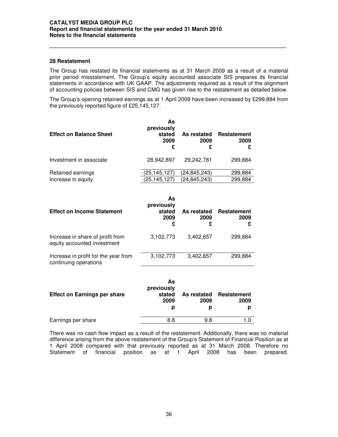#### **28 Restatement**

The Group has restated its financial statements as at 31 March 2009 as a result of a material prior period misstatement. The Group's equity accounted associate SIS prepares its financial statements in accordance with UK GAAP. The adjustments required as a result of the alignment of accounting policies between SIS and CMG has given rise to the restatement as detailed below.

**\_\_\_\_\_\_\_\_\_\_\_\_\_\_\_\_\_\_\_\_\_\_\_\_\_\_\_\_\_\_\_\_\_\_\_\_\_\_\_\_\_\_\_\_\_\_\_\_\_\_\_\_\_\_\_\_\_\_\_\_\_\_\_\_\_\_\_\_\_\_\_\_\_\_\_\_\_** 

The Group's opening retained earnings as at 1 April 2009 have been increased by £299,884 from the previously reported figure of £25,145,127.

| <b>Effect on Balance Sheet</b>          | As<br>previously<br>stated<br>2009<br>£ | As restated<br>2009<br>£         | <b>Restatement</b><br>2009<br>£ |
|-----------------------------------------|-----------------------------------------|----------------------------------|---------------------------------|
| Investment in associate                 | 28,942,897                              | 29.242.781                       | 299.884                         |
| Retained earnings<br>Increase in equity | (25,145,127)<br>(25, 145, 127)          | (24, 845, 243)<br>(24, 845, 243) | 299,884<br>299,884              |

| <b>Effect on Income Statement</b>                               | As<br>previously<br>stated<br>2009<br>£ | As restated<br>2009<br>£ | <b>Restatement</b><br>2009<br>£ |
|-----------------------------------------------------------------|-----------------------------------------|--------------------------|---------------------------------|
| Increase in share of profit from<br>equity accounted investment | 3,102,773                               | 3.402,657                | 299,884                         |
| Increase in profit for the year from<br>continuing operations   | 3,102,773                               | 3,402,657                | 299,884                         |

| <b>Effect on Earnings per share</b> | As<br>previously<br>stated<br>2009<br>р | 2009<br>р | As restated Restatement<br>2009 |
|-------------------------------------|-----------------------------------------|-----------|---------------------------------|
| Earnings per share                  | 8.8                                     | 9.8       |                                 |

There was no cash flow impact as a result of the restatement. Additionally, there was no material difference arising from the above restatement of the Group's Statement of Financial Position as at 1 April 2008 compared with that previously reported as at 31 March 2008. Therefore no Statement of financial position as at 1 April 2008 has been prepared.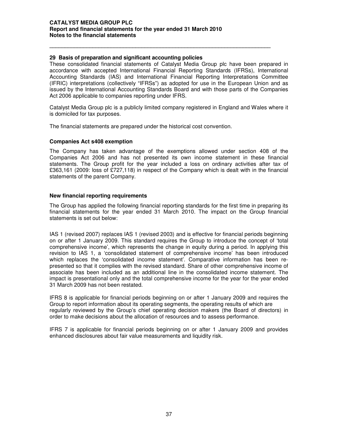#### **29 Basis of preparation and significant accounting policies**

These consolidated financial statements of Catalyst Media Group plc have been prepared in accordance with accepted International Financial Reporting Standards (IFRSs), International Accounting Standards (IAS) and International Financial Reporting Interpretations Committee (IFRIC) interpretations (collectively "IFRSs") as adopted for use in the European Union and as issued by the International Accounting Standards Board and with those parts of the Companies Act 2006 applicable to companies reporting under IFRS.

**\_\_\_\_\_\_\_\_\_\_\_\_\_\_\_\_\_\_\_\_\_\_\_\_\_\_\_\_\_\_\_\_\_\_\_\_\_\_\_\_\_\_\_\_\_\_\_\_\_\_\_\_\_\_\_\_\_\_\_\_\_\_\_\_\_\_\_\_\_\_\_\_** 

Catalyst Media Group plc is a publicly limited company registered in England and Wales where it is domiciled for tax purposes.

The financial statements are prepared under the historical cost convention.

#### **Companies Act s408 exemption**

The Company has taken advantage of the exemptions allowed under section 408 of the Companies Act 2006 and has not presented its own income statement in these financial statements. The Group profit for the year included a loss on ordinary activities after tax of £363,161 (2009: loss of £727,118) in respect of the Company which is dealt with in the financial statements of the parent Company.

#### **New financial reporting requirements**

The Group has applied the following financial reporting standards for the first time in preparing its financial statements for the year ended 31 March 2010. The impact on the Group financial statements is set out below:

IAS 1 (revised 2007) replaces IAS 1 (revised 2003) and is effective for financial periods beginning on or after 1 January 2009. This standard requires the Group to introduce the concept of 'total comprehensive income', which represents the change in equity during a period. In applying this revision to IAS 1, a 'consolidated statement of comprehensive income' has been introduced which replaces the 'consolidated income statement'. Comparative information has been represented so that it complies with the revised standard. Share of other comprehensive income of associate has been included as an additional line in the consolidated income statement. The impact is presentational only and the total comprehensive income for the year for the year ended 31 March 2009 has not been restated.

IFRS 8 is applicable for financial periods beginning on or after 1 January 2009 and requires the Group to report information about its operating segments, the operating results of which are regularly reviewed by the Group's chief operating decision makers (the Board of directors) in order to make decisions about the allocation of resources and to assess performance.

IFRS 7 is applicable for financial periods beginning on or after 1 January 2009 and provides enhanced disclosures about fair value measurements and liquidity risk.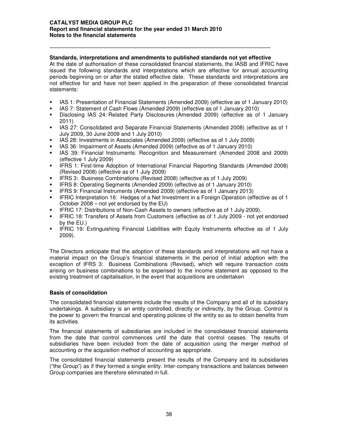#### **Standards, interpretations and amendments to published standards not yet effective**

**\_\_\_\_\_\_\_\_\_\_\_\_\_\_\_\_\_\_\_\_\_\_\_\_\_\_\_\_\_\_\_\_\_\_\_\_\_\_\_\_\_\_\_\_\_\_\_\_\_\_\_\_\_\_\_\_\_\_\_\_\_\_\_\_\_\_\_\_\_\_\_\_** 

At the date of authorisation of these consolidated financial statements, the IASB and IFRIC have issued the following standards and interpretations which are effective for annual accounting periods beginning on or after the stated effective date. These standards and interpretations are not effective for and have not been applied in the preparation of these consolidated financial statements:

- **IAS 1: Presentation of Financial Statements (Amended 2009) (effective as of 1 January 2010)**
- IAS 7: Statement of Cash Flows (Amended 2009) (effective as of 1 January 2010)
- Disclosing IAS 24: Related Party Disclosures (Amended 2009) (effective as of 1 January 2011)
- IAS 27: Consolidated and Separate Financial Statements (Amended 2008) (effective as of 1 July 2009, 30 June 2009 and 1 July 2010)
- **IFM 19.5 28: Investments in Associates (Amended 2009) (effective as of 1 July 2009)**
- ICH IAS 36: Impairment of Assets (Amended 2009) (effective as of 1 January 2010)
- IAS 39: Financial Instruments: Recognition and Measurement (Amended 2008 and 2009) (effective 1 July 2009)
- IFRS 1: First-time Adoption of International Financial Reporting Standards (Amended 2008) (Revised 2008) (effective as of 1 July 2009)
- IFRS 3: Business Combinations (Revised 2008) (effective as of 1 July 2009)
- IFRS 8: Operating Segments (Amended 2009) (effective as of 1 January 2010)
- IFRS 9: Financial Instruments (Amended 2009) (effective as of 1 January 2013)
- **IFRIC Interpretation 16: Hedges of a Net Investment in a Foreign Operation (effective as of 1** October 2008 – not yet endorsed by the EU)
- IFRIC 17: Distributions of Non-Cash Assets to owners (effective as of 1 July 2009).
- **IFRIC 18: Transfers of Assets from Customers (effective as of 1 July 2009 not yet endorsed** by the EU.)
- IFRIC 19: Extinguishing Financial Liabilities with Equity Instruments effective as of 1 July 2009).

The Directors anticipate that the adoption of these standards and interpretations will not have a material impact on the Group's financial statements in the period of initial adoption with the exception of IFRS 3: Business Combinations (Revised), which will require transaction costs arising on business combinations to be expensed to the income statement as opposed to the existing treatment of capitalisation, in the event that acquisitions are undertaken

#### **Basis of consolidation**

The consolidated financial statements include the results of the Company and all of its subsidiary undertakings. A subsidiary is an entity controlled, directly or indirectly, by the Group. Control is the power to govern the financial and operating policies of the entity so as to obtain benefits from its activities.

The financial statements of subsidiaries are included in the consolidated financial statements from the date that control commences until the date that control ceases. The results of subsidiaries have been included from the date of acquisition using the merger method of accounting or the acquisition method of accounting as appropriate.

The consolidated financial statements present the results of the Company and its subsidiaries ("the Group") as if they formed a single entity. Inter-company transactions and balances between Group companies are therefore eliminated in full.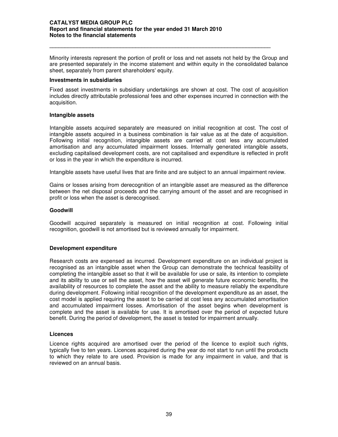Minority interests represent the portion of profit or loss and net assets not held by the Group and are presented separately in the income statement and within equity in the consolidated balance sheet, separately from parent shareholders' equity.

**\_\_\_\_\_\_\_\_\_\_\_\_\_\_\_\_\_\_\_\_\_\_\_\_\_\_\_\_\_\_\_\_\_\_\_\_\_\_\_\_\_\_\_\_\_\_\_\_\_\_\_\_\_\_\_\_\_\_\_\_\_\_\_\_\_\_\_\_\_\_\_\_** 

#### **Investments in subsidiaries**

Fixed asset investments in subsidiary undertakings are shown at cost. The cost of acquisition includes directly attributable professional fees and other expenses incurred in connection with the acquisition.

#### **Intangible assets**

Intangible assets acquired separately are measured on initial recognition at cost. The cost of intangible assets acquired in a business combination is fair value as at the date of acquisition. Following initial recognition, intangible assets are carried at cost less any accumulated amortisation and any accumulated impairment losses. Internally generated intangible assets, excluding capitalised development costs, are not capitalised and expenditure is reflected in profit or loss in the year in which the expenditure is incurred.

Intangible assets have useful lives that are finite and are subject to an annual impairment review.

Gains or losses arising from derecognition of an intangible asset are measured as the difference between the net disposal proceeds and the carrying amount of the asset and are recognised in profit or loss when the asset is derecognised.

#### **Goodwill**

Goodwill acquired separately is measured on initial recognition at cost. Following initial recognition, goodwill is not amortised but is reviewed annually for impairment.

#### **Development expenditure**

Research costs are expensed as incurred. Development expenditure on an individual project is recognised as an intangible asset when the Group can demonstrate the technical feasibility of completing the intangible asset so that it will be available for use or sale, its intention to complete and its ability to use or sell the asset, how the asset will generate future economic benefits, the availability of resources to complete the asset and the ability to measure reliably the expenditure during development. Following initial recognition of the development expenditure as an asset, the cost model is applied requiring the asset to be carried at cost less any accumulated amortisation and accumulated impairment losses. Amortisation of the asset begins when development is complete and the asset is available for use. It is amortised over the period of expected future benefit. During the period of development, the asset is tested for impairment annually.

#### **Licences**

Licence rights acquired are amortised over the period of the licence to exploit such rights, typically five to ten years. Licences acquired during the year do not start to run until the products to which they relate to are used. Provision is made for any impairment in value, and that is reviewed on an annual basis.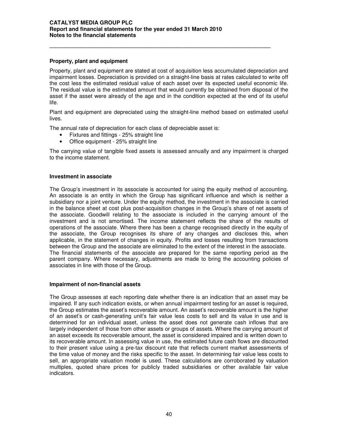#### **Property, plant and equipment**

Property, plant and equipment are stated at cost of acquisition less accumulated depreciation and impairment losses. Depreciation is provided on a straight-line basis at rates calculated to write off the cost less the estimated residual value of each asset over its expected useful economic life. The residual value is the estimated amount that would currently be obtained from disposal of the asset if the asset were already of the age and in the condition expected at the end of its useful life.

**\_\_\_\_\_\_\_\_\_\_\_\_\_\_\_\_\_\_\_\_\_\_\_\_\_\_\_\_\_\_\_\_\_\_\_\_\_\_\_\_\_\_\_\_\_\_\_\_\_\_\_\_\_\_\_\_\_\_\_\_\_\_\_\_\_\_\_\_\_\_\_\_** 

Plant and equipment are depreciated using the straight-line method based on estimated useful lives.

The annual rate of depreciation for each class of depreciable asset is:

- Fixtures and fittings 25% straight line
- Office equipment 25% straight line

The carrying value of tangible fixed assets is assessed annually and any impairment is charged to the income statement.

#### **Investment in associate**

The Group's investment in its associate is accounted for using the equity method of accounting. An associate is an entity in which the Group has significant influence and which is neither a subsidiary nor a joint venture. Under the equity method, the investment in the associate is carried in the balance sheet at cost plus post-acquisition changes in the Group's share of net assets of the associate. Goodwill relating to the associate is included in the carrying amount of the investment and is not amortised. The income statement reflects the share of the results of operations of the associate. Where there has been a change recognised directly in the equity of the associate, the Group recognises its share of any changes and discloses this, when applicable, in the statement of changes in equity. Profits and losses resulting from transactions between the Group and the associate are eliminated to the extent of the interest in the associate. The financial statements of the associate are prepared for the same reporting period as the parent company. Where necessary, adjustments are made to bring the accounting policies of associates in line with those of the Group.

#### **Impairment of non-financial assets**

The Group assesses at each reporting date whether there is an indication that an asset may be impaired. If any such indication exists, or when annual impairment testing for an asset is required, the Group estimates the asset's recoverable amount. An asset's recoverable amount is the higher of an asset's or cash-generating unit's fair value less costs to sell and its value in use and is determined for an individual asset, unless the asset does not generate cash inflows that are largely independent of those from other assets or groups of assets. Where the carrying amount of an asset exceeds its recoverable amount, the asset is considered impaired and is written down to its recoverable amount. In assessing value in use, the estimated future cash flows are discounted to their present value using a pre-tax discount rate that reflects current market assessments of the time value of money and the risks specific to the asset. In determining fair value less costs to sell, an appropriate valuation model is used. These calculations are corroborated by valuation multiples, quoted share prices for publicly traded subsidiaries or other available fair value indicators.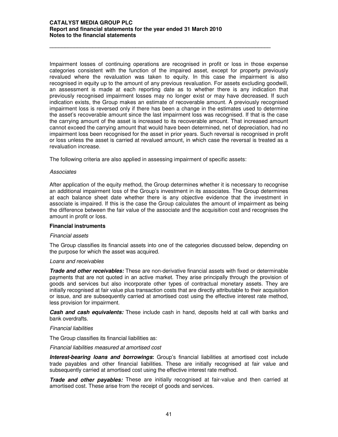Impairment losses of continuing operations are recognised in profit or loss in those expense categories consistent with the function of the impaired asset, except for property previously revalued where the revaluation was taken to equity. In this case the impairment is also recognised in equity up to the amount of any previous revaluation. For assets excluding goodwill, an assessment is made at each reporting date as to whether there is any indication that previously recognised impairment losses may no longer exist or may have decreased. If such indication exists, the Group makes an estimate of recoverable amount. A previously recognised impairment loss is reversed only if there has been a change in the estimates used to determine the asset's recoverable amount since the last impairment loss was recognised. If that is the case the carrying amount of the asset is increased to its recoverable amount. That increased amount cannot exceed the carrying amount that would have been determined, net of depreciation, had no impairment loss been recognised for the asset in prior years. Such reversal is recognised in profit or loss unless the asset is carried at revalued amount, in which case the reversal is treated as a revaluation increase.

**\_\_\_\_\_\_\_\_\_\_\_\_\_\_\_\_\_\_\_\_\_\_\_\_\_\_\_\_\_\_\_\_\_\_\_\_\_\_\_\_\_\_\_\_\_\_\_\_\_\_\_\_\_\_\_\_\_\_\_\_\_\_\_\_\_\_\_\_\_\_\_\_** 

The following criteria are also applied in assessing impairment of specific assets:

#### **Associates**

After application of the equity method, the Group determines whether it is necessary to recognise an additional impairment loss of the Group's investment in its associates. The Group determines at each balance sheet date whether there is any objective evidence that the investment in associate is impaired. If this is the case the Group calculates the amount of impairment as being the difference between the fair value of the associate and the acquisition cost and recognises the amount in profit or loss.

#### **Financial instruments**

#### Financial assets

The Group classifies its financial assets into one of the categories discussed below, depending on the purpose for which the asset was acquired.

#### Loans and receivables

**Trade and other receivables:** These are non-derivative financial assets with fixed or determinable payments that are not quoted in an active market. They arise principally through the provision of goods and services but also incorporate other types of contractual monetary assets. They are initially recognised at fair value plus transaction costs that are directly attributable to their acquisition or issue, and are subsequently carried at amortised cost using the effective interest rate method, less provision for impairment.

**Cash and cash equivalents:** These include cash in hand, deposits held at call with banks and bank overdrafts.

#### Financial liabilities

The Group classifies its financial liabilities as:

#### Financial liabilities measured at amortised cost

**Interest-bearing loans and borrowings:** Group's financial liabilities at amortised cost include trade payables and other financial liabilities. These are initially recognised at fair value and subsequently carried at amortised cost using the effective interest rate method.

**Trade and other payables:** These are initially recognised at fair-value and then carried at amortised cost. These arise from the receipt of goods and services.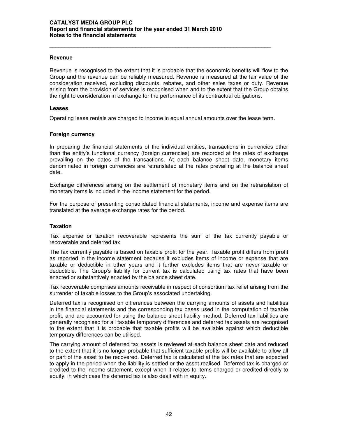#### **Revenue**

Revenue is recognised to the extent that it is probable that the economic benefits will flow to the Group and the revenue can be reliably measured. Revenue is measured at the fair value of the consideration received, excluding discounts, rebates, and other sales taxes or duty. Revenue arising from the provision of services is recognised when and to the extent that the Group obtains the right to consideration in exchange for the performance of its contractual obligations.

#### **Leases**

Operating lease rentals are charged to income in equal annual amounts over the lease term.

**\_\_\_\_\_\_\_\_\_\_\_\_\_\_\_\_\_\_\_\_\_\_\_\_\_\_\_\_\_\_\_\_\_\_\_\_\_\_\_\_\_\_\_\_\_\_\_\_\_\_\_\_\_\_\_\_\_\_\_\_\_\_\_\_\_\_\_\_\_\_\_\_** 

#### **Foreign currency**

In preparing the financial statements of the individual entities, transactions in currencies other than the entity's functional currency (foreign currencies) are recorded at the rates of exchange prevailing on the dates of the transactions. At each balance sheet date, monetary items denominated in foreign currencies are retranslated at the rates prevailing at the balance sheet date.

Exchange differences arising on the settlement of monetary items and on the retranslation of monetary items is included in the income statement for the period.

For the purpose of presenting consolidated financial statements, income and expense items are translated at the average exchange rates for the period.

#### **Taxation**

Tax expense or taxation recoverable represents the sum of the tax currently payable or recoverable and deferred tax.

The tax currently payable is based on taxable profit for the year. Taxable profit differs from profit as reported in the income statement because it excludes items of income or expense that are taxable or deductible in other years and it further excludes items that are never taxable or deductible. The Group's liability for current tax is calculated using tax rates that have been enacted or substantively enacted by the balance sheet date.

Tax recoverable comprises amounts receivable in respect of consortium tax relief arising from the surrender of taxable losses to the Group's associated undertaking.

Deferred tax is recognised on differences between the carrying amounts of assets and liabilities in the financial statements and the corresponding tax bases used in the computation of taxable profit, and are accounted for using the balance sheet liability method. Deferred tax liabilities are generally recognised for all taxable temporary differences and deferred tax assets are recognised to the extent that it is probable that taxable profits will be available against which deductible temporary differences can be utilised.

The carrying amount of deferred tax assets is reviewed at each balance sheet date and reduced to the extent that it is no longer probable that sufficient taxable profits will be available to allow all or part of the asset to be recovered. Deferred tax is calculated at the tax rates that are expected to apply in the period when the liability is settled or the asset realised. Deferred tax is charged or credited to the income statement, except when it relates to items charged or credited directly to equity, in which case the deferred tax is also dealt with in equity.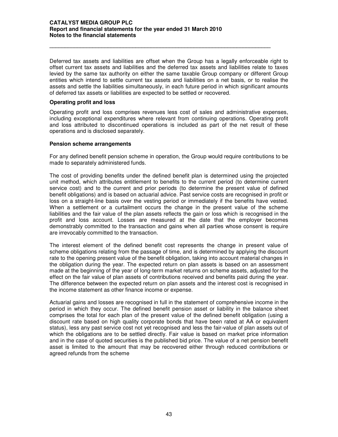Deferred tax assets and liabilities are offset when the Group has a legally enforceable right to offset current tax assets and liabilities and the deferred tax assets and liabilities relate to taxes levied by the same tax authority on either the same taxable Group company or different Group entities which intend to settle current tax assets and liabilities on a net basis, or to realise the assets and settle the liabilities simultaneously, in each future period in which significant amounts of deferred tax assets or liabilities are expected to be settled or recovered.

**\_\_\_\_\_\_\_\_\_\_\_\_\_\_\_\_\_\_\_\_\_\_\_\_\_\_\_\_\_\_\_\_\_\_\_\_\_\_\_\_\_\_\_\_\_\_\_\_\_\_\_\_\_\_\_\_\_\_\_\_\_\_\_\_\_\_\_\_\_\_\_\_** 

#### **Operating profit and loss**

Operating profit and loss comprises revenues less cost of sales and administrative expenses, including exceptional expenditures where relevant from continuing operations. Operating profit and loss attributed to discontinued operations is included as part of the net result of these operations and is disclosed separately.

#### **Pension scheme arrangements**

For any defined benefit pension scheme in operation, the Group would require contributions to be made to separately administered funds.

The cost of providing benefits under the defined benefit plan is determined using the projected unit method, which attributes entitlement to benefits to the current period (to determine current service cost) and to the current and prior periods (to determine the present value of defined benefit obligations) and is based on actuarial advice. Past service costs are recognised in profit or loss on a straight-line basis over the vesting period or immediately if the benefits have vested. When a settlement or a curtailment occurs the change in the present value of the scheme liabilities and the fair value of the plan assets reflects the gain or loss which is recognised in the profit and loss account. Losses are measured at the date that the employer becomes demonstrably committed to the transaction and gains when all parties whose consent is require are irrevocably committed to the transaction.

The interest element of the defined benefit cost represents the change in present value of scheme obligations relating from the passage of time, and is determined by applying the discount rate to the opening present value of the benefit obligation, taking into account material changes in the obligation during the year. The expected return on plan assets is based on an assessment made at the beginning of the year of long-term market returns on scheme assets, adjusted for the effect on the fair value of plan assets of contributions received and benefits paid during the year. The difference between the expected return on plan assets and the interest cost is recognised in the income statement as other finance income or expense.

Actuarial gains and losses are recognised in full in the statement of comprehensive income in the period in which they occur. The defined benefit pension asset or liability in the balance sheet comprises the total for each plan of the present value of the defined benefit obligation (using a discount rate based on high quality corporate bonds that have been rated at AA or equivalent status), less any past service cost not yet recognised and less the fair-value of plan assets out of which the obligations are to be settled directly. Fair value is based on market price information and in the case of quoted securities is the published bid price. The value of a net pension benefit asset is limited to the amount that may be recovered either through reduced contributions or agreed refunds from the scheme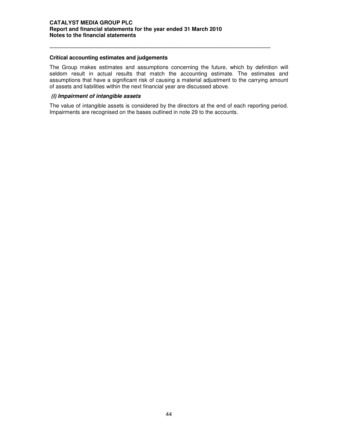#### **Critical accounting estimates and judgements**

The Group makes estimates and assumptions concerning the future, which by definition will seldom result in actual results that match the accounting estimate. The estimates and assumptions that have a significant risk of causing a material adjustment to the carrying amount of assets and liabilities within the next financial year are discussed above.

**\_\_\_\_\_\_\_\_\_\_\_\_\_\_\_\_\_\_\_\_\_\_\_\_\_\_\_\_\_\_\_\_\_\_\_\_\_\_\_\_\_\_\_\_\_\_\_\_\_\_\_\_\_\_\_\_\_\_\_\_\_\_\_\_\_\_\_\_\_\_\_\_** 

#### **(i) Impairment of intangible assets**

The value of intangible assets is considered by the directors at the end of each reporting period. Impairments are recognised on the bases outlined in note 29 to the accounts.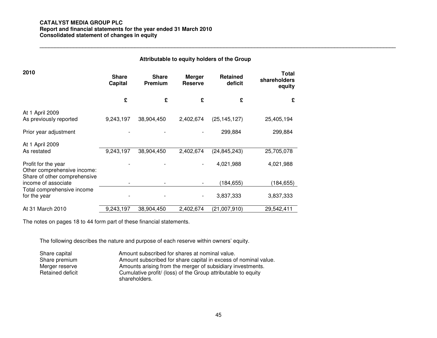#### **CATALYST MEDIA GROUP PLC**

# **Report and financial statements for the year ended 31 March 2010 Consolidated statement of changes in equity \_\_\_\_\_\_\_\_\_\_\_\_\_\_\_\_\_\_\_\_\_\_\_\_\_\_\_\_\_\_\_\_\_\_\_\_\_\_\_\_\_\_\_\_\_\_\_\_\_\_\_\_\_\_\_\_\_\_\_\_\_\_\_\_\_\_\_\_\_\_\_\_\_\_\_\_\_\_\_\_\_\_\_\_\_\_\_\_\_\_\_\_\_\_\_\_\_\_\_\_\_\_\_\_\_\_\_\_\_\_\_\_\_\_\_\_**

|                                                     |                         |                                |                                 | Attributable to equity holders of the Group |                                        |
|-----------------------------------------------------|-------------------------|--------------------------------|---------------------------------|---------------------------------------------|----------------------------------------|
| 2010                                                | <b>Share</b><br>Capital | <b>Share</b><br><b>Premium</b> | <b>Merger</b><br><b>Reserve</b> | <b>Retained</b><br>deficit                  | <b>Total</b><br>shareholders<br>equity |
|                                                     | £                       | £                              | £                               | £                                           | £                                      |
| At 1 April 2009<br>As previously reported           | 9,243,197               | 38,904,450                     | 2,402,674                       | (25, 145, 127)                              | 25,405,194                             |
| Prior year adjustment                               |                         |                                |                                 | 299,884                                     | 299,884                                |
| At 1 April 2009<br>As restated                      | 9,243,197               | 38,904,450                     | 2,402,674                       | (24, 845, 243)                              | 25,705,078                             |
| Profit for the year<br>Other comprehensive income:  |                         |                                |                                 | 4,021,988                                   | 4,021,988                              |
| Share of other comprehensive<br>income of associate |                         |                                |                                 | (184,655)                                   | (184,655)                              |
| Total comprehensive income<br>for the year          |                         |                                |                                 | 3,837,333                                   | 3,837,333                              |
| At 31 March 2010                                    | 9,243,197               | 38,904,450                     | 2,402,674                       | (21,007,910)                                | 29,542,411                             |

The notes on pages 18 to 44 form part of these financial statements.

| Share capital    | Amount subscribed for shares at nominal value.                  |
|------------------|-----------------------------------------------------------------|
| Share premium    | Amount subscribed for share capital in excess of nominal value. |
| Merger reserve   | Amounts arising from the merger of subsidiary investments.      |
| Retained deficit | Cumulative profit/ (loss) of the Group attributable to equity   |
|                  | shareholders.                                                   |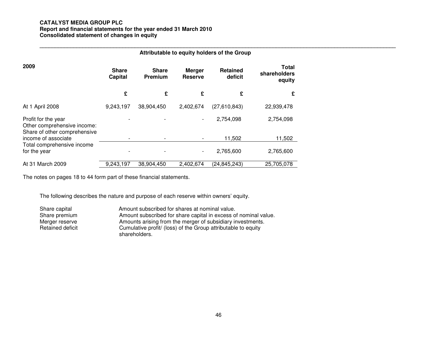#### **CATALYST MEDIA GROUP PLC**

# **Report and financial statements for the year ended 31 March 2010 Consolidated statement of changes in equity \_\_\_\_\_\_\_\_\_\_\_\_\_\_\_\_\_\_\_\_\_\_\_\_\_\_\_\_\_\_\_\_\_\_\_\_\_\_\_\_\_\_\_\_\_\_\_\_\_\_\_\_\_\_\_\_\_\_\_\_\_\_\_\_\_\_\_\_\_\_\_\_\_\_\_\_\_\_\_\_\_\_\_\_\_\_\_\_\_\_\_\_\_\_\_\_\_\_\_\_\_\_\_\_\_\_\_\_\_\_\_\_\_\_\_\_**

| 2009                                                                               | <b>Share</b><br>Capital | <b>Share</b><br><b>Premium</b> | <b>Merger</b><br><b>Reserve</b> | <b>Retained</b><br>deficit | <b>Total</b><br>shareholders<br>equity |
|------------------------------------------------------------------------------------|-------------------------|--------------------------------|---------------------------------|----------------------------|----------------------------------------|
|                                                                                    | £                       | £                              | £                               | £                          | £                                      |
| At 1 April 2008                                                                    | 9,243,197               | 38,904,450                     | 2,402,674                       | (27,610,843)               | 22,939,478                             |
| Profit for the year<br>Other comprehensive income:<br>Share of other comprehensive |                         |                                |                                 | 2,754,098                  | 2,754,098                              |
| income of associate                                                                |                         | $\overline{\phantom{0}}$       |                                 | 11,502                     | 11,502                                 |
| Total comprehensive income<br>for the year                                         |                         | $\overline{a}$                 |                                 | 2,765,600                  | 2,765,600                              |
| At 31 March 2009                                                                   | 9,243,197               | 38,904,450                     | 2,402,674                       | (24, 845, 243)             | 25,705,078                             |

The notes on pages 18 to 44 form part of these financial statements.

| Share capital           | Amount subscribed for shares at nominal value.                                 |
|-------------------------|--------------------------------------------------------------------------------|
| Share premium           | Amount subscribed for share capital in excess of nominal value.                |
| Merger reserve          | Amounts arising from the merger of subsidiary investments.                     |
| <b>Retained deficit</b> | Cumulative profit/ (loss) of the Group attributable to equity<br>shareholders. |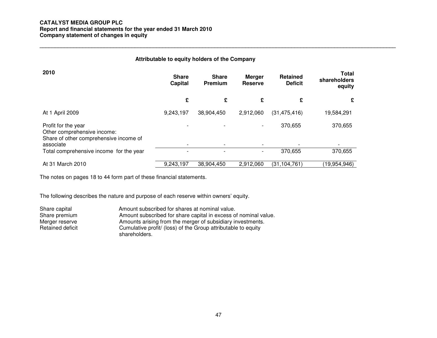## **CATALYST MEDIA GROUP PLC Report and financial statements for the year ended 31 March 2010 Company statement of changes in equity \_\_\_\_\_\_\_\_\_\_\_\_\_\_\_\_\_\_\_\_\_\_\_\_\_\_\_\_\_\_\_\_\_\_\_\_\_\_\_\_\_\_\_\_\_\_\_\_\_\_\_\_\_\_\_\_\_\_\_\_\_\_\_\_\_\_\_\_\_\_\_\_\_\_\_\_\_\_\_\_\_\_\_\_\_\_\_\_\_\_\_\_\_\_\_\_\_\_\_\_\_\_\_\_\_\_\_\_\_\_\_\_\_\_\_\_**

| Attributable to equity holders of the Company                                                |                         |                         |                          |                                   |                                        |
|----------------------------------------------------------------------------------------------|-------------------------|-------------------------|--------------------------|-----------------------------------|----------------------------------------|
| 2010                                                                                         | <b>Share</b><br>Capital | <b>Share</b><br>Premium | Merger<br><b>Reserve</b> | <b>Retained</b><br><b>Deficit</b> | <b>Total</b><br>shareholders<br>equity |
|                                                                                              | £                       | £                       | £                        | £                                 | £                                      |
| At 1 April 2009                                                                              | 9,243,197               | 38,904,450              | 2,912,060                | (31, 475, 416)                    | 19,584,291                             |
| Profit for the year<br>Other comprehensive income:<br>Share of other comprehensive income of |                         |                         | $\overline{\phantom{a}}$ | 370,655                           | 370,655                                |
| associate                                                                                    |                         |                         |                          |                                   |                                        |
| Total comprehensive income for the year                                                      |                         |                         | $\overline{\phantom{a}}$ | 370,655                           | 370,655                                |
| At 31 March 2010                                                                             | 9,243,197               | 38,904,450              | 2,912,060                | (31, 104, 761)                    | (19,954,946)                           |

The notes on pages 18 to 44 form part of these financial statements.

| Share capital    | Amount subscribed for shares at nominal value.                  |
|------------------|-----------------------------------------------------------------|
| Share premium    | Amount subscribed for share capital in excess of nominal value. |
| Merger reserve   | Amounts arising from the merger of subsidiary investments.      |
| Retained deficit | Cumulative profit/ (loss) of the Group attributable to equity   |
|                  | shareholders.                                                   |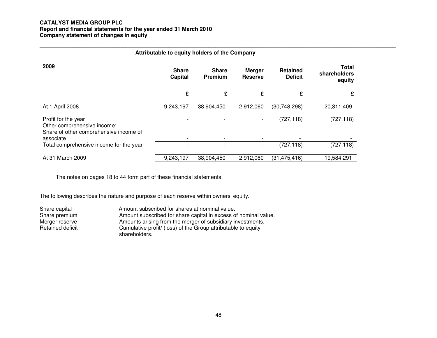#### **CATALYST MEDIA GROUP PLC Report and financial statements for the year ended 31 March 2010** Company statement of changes in equity

#### **Attributable to equity holders of the Company**

| 2009                                                                                                      | <b>Share</b><br><b>Capital</b> | <b>Share</b><br>Premium                              | <b>Merger</b><br><b>Reserve</b>                      | <b>Retained</b><br><b>Deficit</b> | <b>Total</b><br>shareholders<br>equity |
|-----------------------------------------------------------------------------------------------------------|--------------------------------|------------------------------------------------------|------------------------------------------------------|-----------------------------------|----------------------------------------|
|                                                                                                           | £                              | £                                                    | £                                                    | £                                 | £                                      |
| At 1 April 2008                                                                                           | 9,243,197                      | 38,904,450                                           | 2,912,060                                            | (30,748,298)                      | 20,311,409                             |
| Profit for the year<br>Other comprehensive income:<br>Share of other comprehensive income of<br>associate | $\overline{\phantom{a}}$       | $\overline{\phantom{0}}$<br>$\overline{\phantom{a}}$ | $\overline{\phantom{a}}$<br>$\overline{\phantom{a}}$ | (727, 118)                        | (727, 118)                             |
| Total comprehensive income for the year                                                                   |                                | $\overline{\phantom{0}}$                             | $\overline{\phantom{a}}$                             | (727, 118)                        | (727, 118)                             |
| At 31 March 2009                                                                                          | 9,243,197                      | 38,904,450                                           | 2,912,060                                            | (31, 475, 416)                    | 19,584,291                             |

The notes on pages 18 to 44 form part of these financial statements.

| Share capital    | Amount subscribed for shares at nominal value.                  |
|------------------|-----------------------------------------------------------------|
| Share premium    | Amount subscribed for share capital in excess of nominal value. |
| Merger reserve   | Amounts arising from the merger of subsidiary investments.      |
| Retained deficit | Cumulative profit/ (loss) of the Group attributable to equity   |
|                  | shareholders.                                                   |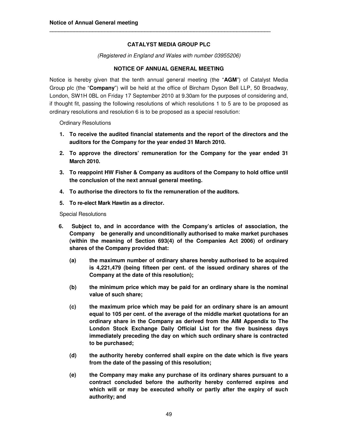#### **CATALYST MEDIA GROUP PLC**

**\_\_\_\_\_\_\_\_\_\_\_\_\_\_\_\_\_\_\_\_\_\_\_\_\_\_\_\_\_\_\_\_\_\_\_\_\_\_\_\_\_\_\_\_\_\_\_\_\_\_\_\_\_\_\_\_\_\_\_\_\_\_\_\_\_\_\_\_\_\_\_\_** 

(Registered in England and Wales with number 03955206)

#### **NOTICE OF ANNUAL GENERAL MEETING**

Notice is hereby given that the tenth annual general meeting (the "**AGM**") of Catalyst Media Group plc (the "**Company**") will be held at the office of Bircham Dyson Bell LLP, 50 Broadway, London, SW1H 0BL on Friday 17 September 2010 at 9.30am for the purposes of considering and, if thought fit, passing the following resolutions of which resolutions 1 to 5 are to be proposed as ordinary resolutions and resolution 6 is to be proposed as a special resolution:

Ordinary Resolutions

- **1. To receive the audited financial statements and the report of the directors and the auditors for the Company for the year ended 31 March 2010.**
- **2. To approve the directors' remuneration for the Company for the year ended 31 March 2010.**
- **3. To reappoint HW Fisher & Company as auditors of the Company to hold office until the conclusion of the next annual general meeting.**
- **4. To authorise the directors to fix the remuneration of the auditors.**
- **5. To re-elect Mark Hawtin as a director.**

Special Resolutions

- **6. Subject to, and in accordance with the Company's articles of association, the Company be generally and unconditionally authorised to make market purchases (within the meaning of Section 693(4) of the Companies Act 2006) of ordinary shares of the Company provided that:** 
	- **(a) the maximum number of ordinary shares hereby authorised to be acquired is 4,221,479 (being fifteen per cent. of the issued ordinary shares of the Company at the date of this resolution);**
	- **(b) the minimum price which may be paid for an ordinary share is the nominal value of such share;**
	- **(c) the maximum price which may be paid for an ordinary share is an amount equal to 105 per cent. of the average of the middle market quotations for an ordinary share in the Company as derived from the AIM Appendix to The London Stock Exchange Daily Official List for the five business days immediately preceding the day on which such ordinary share is contracted to be purchased;**
	- **(d) the authority hereby conferred shall expire on the date which is five years from the date of the passing of this resolution;**
	- **(e) the Company may make any purchase of its ordinary shares pursuant to a contract concluded before the authority hereby conferred expires and which will or may be executed wholly or partly after the expiry of such authority; and**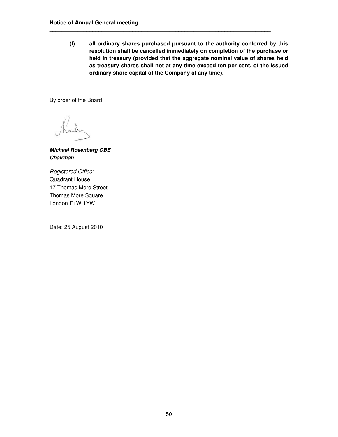**(f) all ordinary shares purchased pursuant to the authority conferred by this resolution shall be cancelled immediately on completion of the purchase or held in treasury (provided that the aggregate nominal value of shares held as treasury shares shall not at any time exceed ten per cent. of the issued ordinary share capital of the Company at any time).**

**\_\_\_\_\_\_\_\_\_\_\_\_\_\_\_\_\_\_\_\_\_\_\_\_\_\_\_\_\_\_\_\_\_\_\_\_\_\_\_\_\_\_\_\_\_\_\_\_\_\_\_\_\_\_\_\_\_\_\_\_\_\_\_\_\_\_\_\_\_\_\_\_** 

By order of the Board

**Michael Rosenberg OBE Chairman** 

Registered Office: Quadrant House 17 Thomas More Street Thomas More Square London E1W 1YW

Date: 25 August 2010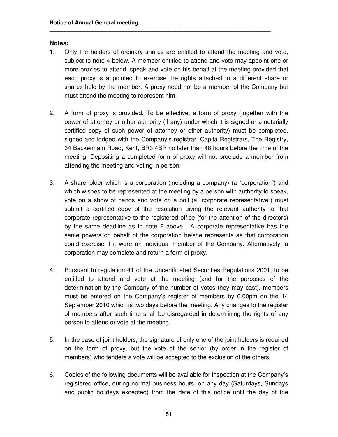#### **Notes:**

1. Only the holders of ordinary shares are entitled to attend the meeting and vote, subject to note 4 below. A member entitled to attend and vote may appoint one or more proxies to attend, speak and vote on his behalf at the meeting provided that each proxy is appointed to exercise the rights attached to a different share or shares held by the member. A proxy need not be a member of the Company but must attend the meeting to represent him.

**\_\_\_\_\_\_\_\_\_\_\_\_\_\_\_\_\_\_\_\_\_\_\_\_\_\_\_\_\_\_\_\_\_\_\_\_\_\_\_\_\_\_\_\_\_\_\_\_\_\_\_\_\_\_\_\_\_\_\_\_\_\_\_\_\_\_\_\_\_\_\_\_** 

- 2. A form of proxy is provided. To be effective, a form of proxy (together with the power of attorney or other authority (if any) under which it is signed or a notarially certified copy of such power of attorney or other authority) must be completed, signed and lodged with the Company's registrar, Capita Registrars, The Registry, 34 Beckenham Road, Kent, BR3 4BR no later than 48 hours before the time of the meeting. Depositing a completed form of proxy will not preclude a member from attending the meeting and voting in person.
- 3. A shareholder which is a corporation (including a company) (a "corporation") and which wishes to be represented at the meeting by a person with authority to speak, vote on a show of hands and vote on a poll (a "corporate representative") must submit a certified copy of the resolution giving the relevant authority to that corporate representative to the registered office (for the attention of the directors) by the same deadline as in note 2 above. A corporate representative has the same powers on behalf of the corporation he/she represents as that corporation could exercise if it were an individual member of the Company. Alternatively, a corporation may complete and return a form of proxy.
- 4. Pursuant to regulation 41 of the Uncertificated Securities Regulations 2001, to be entitled to attend and vote at the meeting (and for the purposes of the determination by the Company of the number of votes they may cast), members must be entered on the Company's register of members by 6.00pm on the 14 September 2010 which is two days before the meeting. Any changes to the register of members after such time shall be disregarded in determining the rights of any person to attend or vote at the meeting.
- 5. In the case of joint holders, the signature of only one of the joint holders is required on the form of proxy, but the vote of the senior (by order in the register of members) who tenders a vote will be accepted to the exclusion of the others.
- 6. Copies of the following documents will be available for inspection at the Company's registered office, during normal business hours, on any day (Saturdays, Sundays and public holidays excepted) from the date of this notice until the day of the